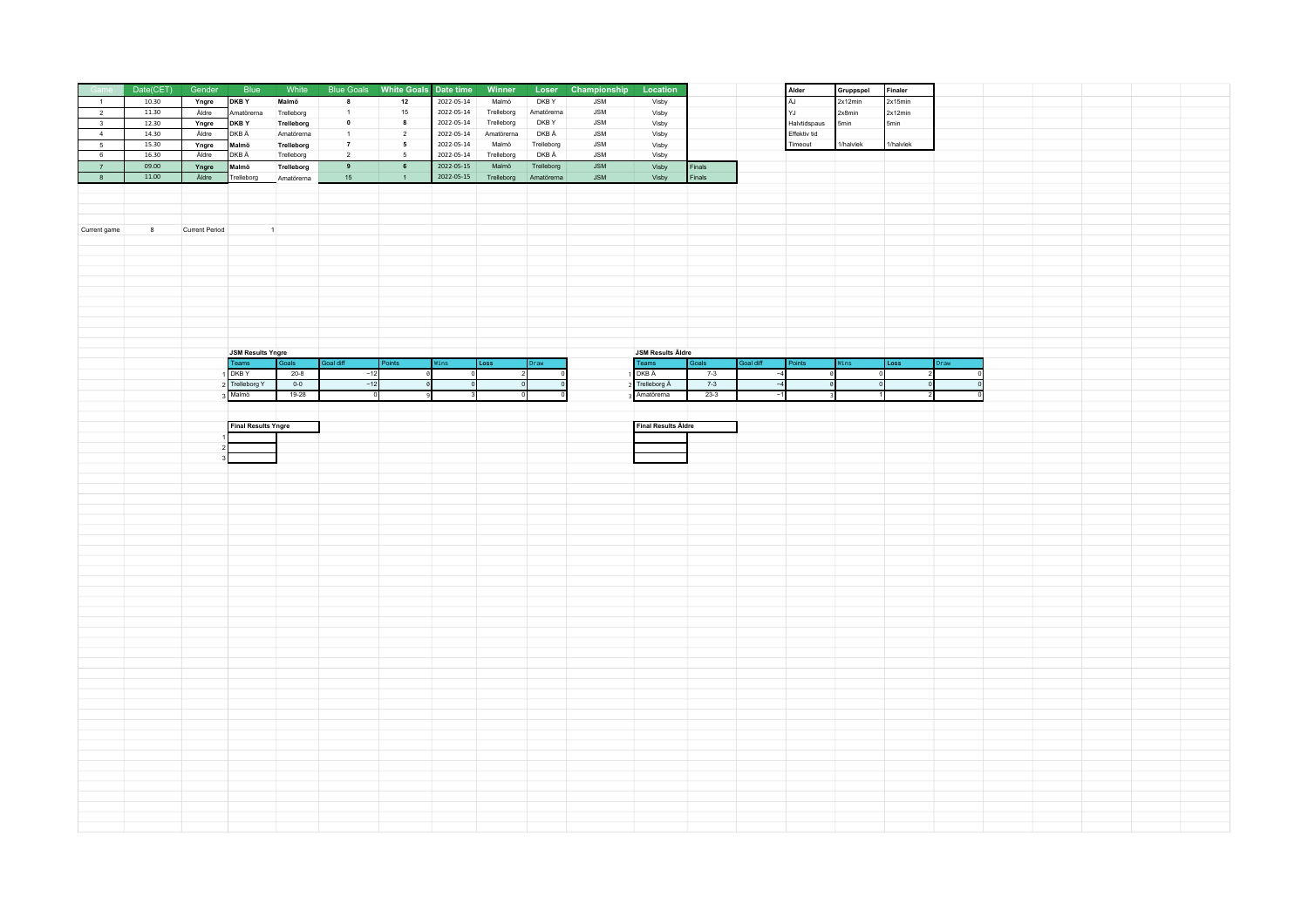|                         | Date(CET) | Gender         | Blue                       | White      | <b>Blue Goals</b> | White Goals Date time |            | Winner     |            | Loser Championship | Location                   |        |           | Alder        | Gruppspel | Finaler             |  |  |  |
|-------------------------|-----------|----------------|----------------------------|------------|-------------------|-----------------------|------------|------------|------------|--------------------|----------------------------|--------|-----------|--------------|-----------|---------------------|--|--|--|
| $-1$                    | 10.30     | Yngre          | DKB Y                      | Malmö      | 8                 | 12                    | 2022-05-14 | Malmö      | DKB Y      | <b>JSM</b>         | Visby                      |        |           | ÄJ           | 2x12min   | 2x15min             |  |  |  |
| $\overline{2}$          | 11.30     | Äldre          | Amatörerna                 | Trelleborg | $\overline{1}$    | 15                    | 2022-05-14 | Trelleborg | Amatörerna | ${\sf JSM}$        | Visby                      |        |           | YJ           | 2x8min    | 2x12min             |  |  |  |
| $\overline{\mathbf{3}}$ | 12.30     | Yngre          | DKB Y                      | Trelleborg | $\mathbf 0$       | $\bf{8}$              | 2022-05-14 | Trelleborg | DKB Y      | ${\sf JSM}$        | Visby                      |        |           | Halvtidspaus | 5min      | 5min                |  |  |  |
| $\overline{4}$          | 14.30     | Äldre          | DKB Ä                      | Amatörerna | $\overline{1}$    | $\overline{2}$        | 2022-05-14 | Amatörerna | DKB Ä      | ${\sf JSM}$        | Visby                      |        |           | Effektiv tid |           |                     |  |  |  |
| $5\phantom{.0}$         | 15.30     | Yngre          | Malmö                      | Trelleborg | $\overline{7}$    | $5\phantom{.0}$       | 2022-05-14 | Malmö      | Trelleborg | <b>JSM</b>         | Visby                      |        |           | Timeout      | 1/halvlek | 1/halvlek           |  |  |  |
| $6\overline{6}$         | 16.30     | Äldre          | DKB Ä                      | Trelleborg | $\overline{2}$    | 5                     | 2022-05-14 | Trelleborg | DKB Ä      | <b>JSM</b>         | Visby                      |        |           |              |           |                     |  |  |  |
| 7                       | 09.00     | Yngre          | Malmö                      | Trelleborg | $\overline{9}$    | $6\overline{6}$       | 2022-05-15 | Malmö      | Trelleborg | <b>JSM</b>         | Visby                      | Finals |           |              |           |                     |  |  |  |
| 8                       | 11.00     | Äldre          | Trelleborg                 | Amatörerna | 15                | $\overline{1}$        | 2022-05-15 | Trelleborg | Amatörerna | <b>JSM</b>         | Visby                      | Finals |           |              |           |                     |  |  |  |
|                         |           |                |                            |            |                   |                       |            |            |            |                    |                            |        |           |              |           |                     |  |  |  |
|                         |           |                |                            |            |                   |                       |            |            |            |                    |                            |        |           |              |           |                     |  |  |  |
|                         |           |                |                            |            |                   |                       |            |            |            |                    |                            |        |           |              |           |                     |  |  |  |
| Current game            | 8         | Current Period | $\blacksquare$             |            |                   |                       |            |            |            |                    |                            |        |           |              |           |                     |  |  |  |
|                         |           |                |                            |            |                   |                       |            |            |            |                    |                            |        |           |              |           |                     |  |  |  |
|                         |           |                |                            |            |                   |                       |            |            |            |                    |                            |        |           |              |           |                     |  |  |  |
|                         |           |                |                            |            |                   |                       |            |            |            |                    |                            |        |           |              |           |                     |  |  |  |
|                         |           |                |                            |            |                   |                       |            |            |            |                    |                            |        |           |              |           |                     |  |  |  |
|                         |           |                |                            |            |                   |                       |            |            |            |                    |                            |        |           |              |           |                     |  |  |  |
|                         |           |                |                            |            |                   |                       |            |            |            |                    |                            |        |           |              |           |                     |  |  |  |
|                         |           |                |                            |            |                   |                       |            |            |            |                    |                            |        |           |              |           |                     |  |  |  |
|                         |           |                |                            |            |                   |                       |            |            |            |                    |                            |        |           |              |           |                     |  |  |  |
|                         |           |                |                            |            |                   |                       |            |            |            |                    |                            |        |           |              |           |                     |  |  |  |
|                         |           |                | <b>JSM Results Yngre</b>   |            |                   |                       |            |            |            |                    | <b>JSM Results Äldre</b>   |        |           |              |           |                     |  |  |  |
|                         |           |                | Teams                      | Goals      | Goal diff         | Points                | Wins       | Loss       | raw.       |                    | Teams                      | Goals  | Goal diff | Points       | Vins      | Loss<br><b>Oraw</b> |  |  |  |
|                         |           |                | DKB Y                      | $20-8$     | $-12$             |                       |            |            |            |                    | DKB Ä                      | $7-3$  |           |              |           |                     |  |  |  |
|                         |           |                | Trelleborg Y               | $0 - 0$    | $-12$             |                       |            |            |            |                    | Trelleborg Ä               | $7-3$  |           |              |           |                     |  |  |  |
|                         |           |                | 3 Malmö                    | 19-28      |                   |                       |            |            |            |                    | Amatörerna                 | $23-3$ |           |              |           |                     |  |  |  |
|                         |           |                |                            |            |                   |                       |            |            |            |                    |                            |        |           |              |           |                     |  |  |  |
|                         |           |                | <b>Final Results Yngre</b> |            |                   |                       |            |            |            |                    | <b>Final Results Äldre</b> |        |           |              |           |                     |  |  |  |
|                         |           |                |                            |            |                   |                       |            |            |            |                    |                            |        |           |              |           |                     |  |  |  |
|                         |           |                |                            |            |                   |                       |            |            |            |                    |                            |        |           |              |           |                     |  |  |  |
|                         |           |                |                            |            |                   |                       |            |            |            |                    |                            |        |           |              |           |                     |  |  |  |
|                         |           |                |                            |            |                   |                       |            |            |            |                    |                            |        |           |              |           |                     |  |  |  |
|                         |           |                |                            |            |                   |                       |            |            |            |                    |                            |        |           |              |           |                     |  |  |  |
|                         |           |                |                            |            |                   |                       |            |            |            |                    |                            |        |           |              |           |                     |  |  |  |
|                         |           |                |                            |            |                   |                       |            |            |            |                    |                            |        |           |              |           |                     |  |  |  |
|                         |           |                |                            |            |                   |                       |            |            |            |                    |                            |        |           |              |           |                     |  |  |  |
|                         |           |                |                            |            |                   |                       |            |            |            |                    |                            |        |           |              |           |                     |  |  |  |
|                         |           |                |                            |            |                   |                       |            |            |            |                    |                            |        |           |              |           |                     |  |  |  |
|                         |           |                |                            |            |                   |                       |            |            |            |                    |                            |        |           |              |           |                     |  |  |  |
|                         |           |                |                            |            |                   |                       |            |            |            |                    |                            |        |           |              |           |                     |  |  |  |
|                         |           |                |                            |            |                   |                       |            |            |            |                    |                            |        |           |              |           |                     |  |  |  |
|                         |           |                |                            |            |                   |                       |            |            |            |                    |                            |        |           |              |           |                     |  |  |  |
|                         |           |                |                            |            |                   |                       |            |            |            |                    |                            |        |           |              |           |                     |  |  |  |
|                         |           |                |                            |            |                   |                       |            |            |            |                    |                            |        |           |              |           |                     |  |  |  |
|                         |           |                |                            |            |                   |                       |            |            |            |                    |                            |        |           |              |           |                     |  |  |  |
|                         |           |                |                            |            |                   |                       |            |            |            |                    |                            |        |           |              |           |                     |  |  |  |
|                         |           |                |                            |            |                   |                       |            |            |            |                    |                            |        |           |              |           |                     |  |  |  |
|                         |           |                |                            |            |                   |                       |            |            |            |                    |                            |        |           |              |           |                     |  |  |  |
|                         |           |                |                            |            |                   |                       |            |            |            |                    |                            |        |           |              |           |                     |  |  |  |
|                         |           |                |                            |            |                   |                       |            |            |            |                    |                            |        |           |              |           |                     |  |  |  |
|                         |           |                |                            |            |                   |                       |            |            |            |                    |                            |        |           |              |           |                     |  |  |  |
|                         |           |                |                            |            |                   |                       |            |            |            |                    |                            |        |           |              |           |                     |  |  |  |
|                         |           |                |                            |            |                   |                       |            |            |            |                    |                            |        |           |              |           |                     |  |  |  |
|                         |           |                |                            |            |                   |                       |            |            |            |                    |                            |        |           |              |           |                     |  |  |  |
|                         |           |                |                            |            |                   |                       |            |            |            |                    |                            |        |           |              |           |                     |  |  |  |
|                         |           |                |                            |            |                   |                       |            |            |            |                    |                            |        |           |              |           |                     |  |  |  |
|                         |           |                |                            |            |                   |                       |            |            |            |                    |                            |        |           |              |           |                     |  |  |  |
|                         |           |                |                            |            |                   |                       |            |            |            |                    |                            |        |           |              |           |                     |  |  |  |
|                         |           |                |                            |            |                   |                       |            |            |            |                    |                            |        |           |              |           |                     |  |  |  |
|                         |           |                |                            |            |                   |                       |            |            |            |                    |                            |        |           |              |           |                     |  |  |  |
|                         |           |                |                            |            |                   |                       |            |            |            |                    |                            |        |           |              |           |                     |  |  |  |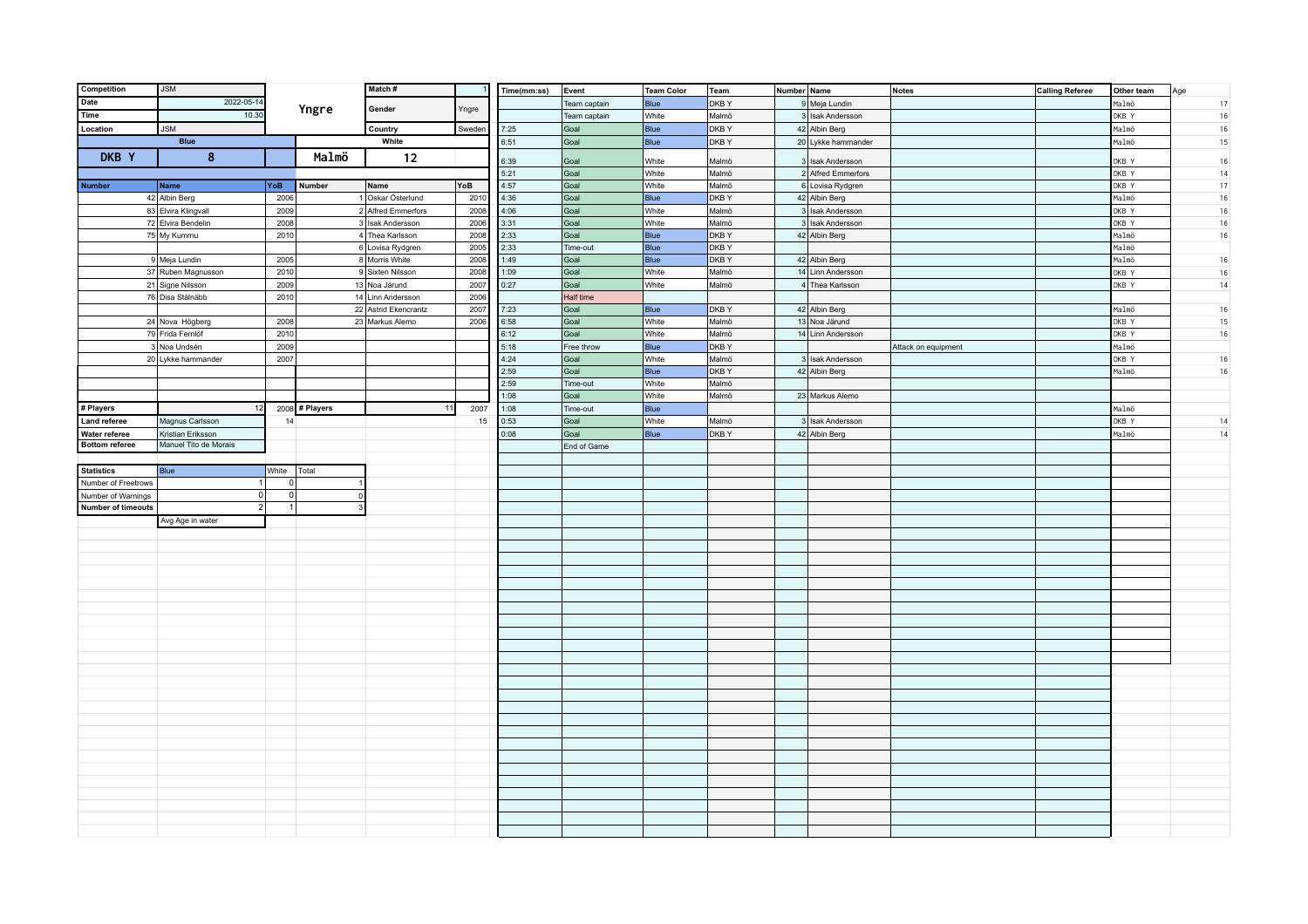| Competition               | <b>JSM</b>            |             |                | Match#               |        | Time(mm:ss)  | Event            | <b>Team Color</b> | Team           | Number Name                            | <b>Notes</b>        | <b>Calling Referee</b> | Other team | Age    |
|---------------------------|-----------------------|-------------|----------------|----------------------|--------|--------------|------------------|-------------------|----------------|----------------------------------------|---------------------|------------------------|------------|--------|
| Date                      | 2022-05-1             |             |                |                      |        |              | Team captain     | Blue              | DKB Y          | 9 Meja Lundin                          |                     |                        | Malmö      | 17     |
| Time                      | 10.30                 |             | Yngre          | Gender               | Yngre  |              | Team captain     | White             | Malmö          | 3 Isak Andersson                       |                     |                        | DKB Y      | $16\,$ |
| Location                  | <b>JSM</b>            |             |                | Country              | Sweden | 7:25         | Goal             | Blue              | DKBY           | 42 Albin Berg                          |                     |                        | Malmö      | $16\,$ |
|                           | <b>Blue</b>           |             |                | White                |        | 6:51         | Goal             | Blue              | <b>DKBY</b>    | 20 Lykke hammander                     |                     |                        | Malmö      | 15     |
| DKB Y                     | 8                     |             | Malmö          | 12                   |        | 6:39         |                  | White             | Malmö          |                                        |                     |                        | DKB Y      | 16     |
|                           |                       |             |                |                      |        | 5:21         | Goal<br>Goal     | White             | Malmö          | 3 Isak Andersson<br>2 Alfred Emmerfors |                     |                        | DKB Y      | 14     |
| <b>Number</b>             | Name                  | YoB         | Number         | Name                 | YoB    | 4:57         | Goal             | White             | Malmö          | 6 Lovisa Rydgren                       |                     |                        | DKB Y      | $17\,$ |
|                           | 42 Albin Berg         | 2006        |                | 1 Oskar Österlund    | 2010   | 4:36         | Goal             | Blue              | DKBY           | 42 Albin Berg                          |                     |                        | Malmö      | $16\,$ |
|                           | 83 Elvira Klingvall   | 2009        |                | 2 Alfred Emmerfors   | 2008   | 4:06         | Goal             | White             | Malmö          | 3 Isak Andersson                       |                     |                        | DKB Y      | $16\,$ |
|                           | 72 Elvira Bendelin    | 2008        |                | 3 Isak Andersson     | 2006   | 3:31         | Goal             | White             | Malmö          | 3 Isak Andersson                       |                     |                        | DKB Y      | 16     |
|                           | 75 My Kummu           | 2010        |                | 4 Thea Karlsson      | 2008   | 2:33         | Goal             | Blue              | DKBY           | 42 Albin Berg                          |                     |                        | Malmö      | 16     |
|                           |                       |             |                | 6 Lovisa Rydgren     | 2005   | 2:33         | Time-out         | Blue              | <b>DKBY</b>    |                                        |                     |                        | Malmö      |        |
|                           | 9 Meja Lundin         | 2005        |                | 8 Morris White       | 2008   | 1:49         | Goal             | Blue              | <b>DKBY</b>    | 42 Albin Berg                          |                     |                        | Malmö      | 16     |
|                           | 37 Ruben Magnusson    | 2010        |                | 9 Sixten Nilsson     | 2008   | 1:09         | Goal             | White             | Malmö          | 14 Linn Andersson                      |                     |                        | DKB Y      | 16     |
|                           | 21 Signe Nilsson      | 2009        |                | 13 Noa Järund        | 2007   | 0:27         | Goal             | White             | Malmö          | 4 Thea Karlsson                        |                     |                        | DKB Y      | 14     |
|                           | 76 Disa Stålnäbb      | 2010        |                | 14 Linn Andersson    | 2006   |              | Half time        |                   |                |                                        |                     |                        |            |        |
|                           |                       |             |                | 22 Astrid Ekencrantz | 2007   | 7:23         | Goal             | Blue              | <b>DKBY</b>    | 42 Albin Berg                          |                     |                        | Malmö      | 16     |
|                           | 24 Nova Högberg       | 2008        |                | 23 Markus Alemo      | 2006   | 6:58         | Goal             | White             | Malmö          | 13 Noa Järund                          |                     |                        | DKB Y      | 15     |
|                           | 79 Frida Fernlöf      | 2010        |                |                      |        | 6:12         | Goal             | White             | Malmö          | 14 Linn Andersson                      |                     |                        | DKB Y      | 16     |
|                           | 3 Noa Undsén          | 2009        |                |                      |        | 5:18         | Free throw       | Blue              | <b>DKBY</b>    |                                        | Attack on equipment |                        | Malmö      |        |
|                           | 20 Lykke hammander    | 2007        |                |                      |        | 4:24         | Goal             | White             | Malmö          | 3 Isak Andersson                       |                     |                        | DKB Y      | 16     |
|                           |                       |             |                |                      |        | 2:59<br>2:59 | Goal             | Blue              | <b>DKBY</b>    | 42 Albin Berg                          |                     |                        | Malmö      | 16     |
|                           |                       |             |                |                      |        | 1:08         | Time-out<br>Goal | White<br>White    | Malmö<br>Malmö | 23 Markus Alemo                        |                     |                        |            |        |
| # Players                 |                       |             | 2008 # Players | 11                   | 2007   | 1:08         | Time-out         | Blue              |                |                                        |                     |                        | Malmö      |        |
| Land referee              | Magnus Carlsson       | 14          |                |                      | 15     | 0:53         | Goal             | White             | Malmö          | 3 Isak Andersson                       |                     |                        | DKB Y      | 14     |
| Water referee             | Kristian Eriksson     |             |                |                      |        | 0:08         | Goal             | Blue              | DKBY           | 42 Albin Berg                          |                     |                        | Malmö      | $14\,$ |
| <b>Bottom referee</b>     | Manuel Tito de Morais |             |                |                      |        |              | End of Game      |                   |                |                                        |                     |                        |            |        |
|                           |                       |             |                |                      |        |              |                  |                   |                |                                        |                     |                        |            |        |
| <b>Statistics</b>         | Blue                  | White Total |                |                      |        |              |                  |                   |                |                                        |                     |                        |            |        |
| Number of Freetrows       | 1 <sup>1</sup>        | 0           |                |                      |        |              |                  |                   |                |                                        |                     |                        |            |        |
| Number of Warnings        | 0                     | 0           | $\circ$        |                      |        |              |                  |                   |                |                                        |                     |                        |            |        |
| <b>Number of timeouts</b> | 2                     | 1           |                |                      |        |              |                  |                   |                |                                        |                     |                        |            |        |
|                           | Avg Age in water      |             |                |                      |        |              |                  |                   |                |                                        |                     |                        |            |        |
|                           |                       |             |                |                      |        |              |                  |                   |                |                                        |                     |                        |            |        |
|                           |                       |             |                |                      |        |              |                  |                   |                |                                        |                     |                        |            |        |
|                           |                       |             |                |                      |        |              |                  |                   |                |                                        |                     |                        |            |        |
|                           |                       |             |                |                      |        |              |                  |                   |                |                                        |                     |                        |            |        |
|                           |                       |             |                |                      |        |              |                  |                   |                |                                        |                     |                        |            |        |
|                           |                       |             |                |                      |        |              |                  |                   |                |                                        |                     |                        |            |        |
|                           |                       |             |                |                      |        |              |                  |                   |                |                                        |                     |                        |            |        |
|                           |                       |             |                |                      |        |              |                  |                   |                |                                        |                     |                        |            |        |
|                           |                       |             |                |                      |        |              |                  |                   |                |                                        |                     |                        |            |        |
|                           |                       |             |                |                      |        |              |                  |                   |                |                                        |                     |                        |            |        |
|                           |                       |             |                |                      |        |              |                  |                   |                |                                        |                     |                        |            |        |
|                           |                       |             |                |                      |        |              |                  |                   |                |                                        |                     |                        |            |        |
|                           |                       |             |                |                      |        |              |                  |                   |                |                                        |                     |                        |            |        |
|                           |                       |             |                |                      |        |              |                  |                   |                |                                        |                     |                        |            |        |
|                           |                       |             |                |                      |        |              |                  |                   |                |                                        |                     |                        |            |        |
|                           |                       |             |                |                      |        |              |                  |                   |                |                                        |                     |                        |            |        |
|                           |                       |             |                |                      |        |              |                  |                   |                |                                        |                     |                        |            |        |
|                           |                       |             |                |                      |        |              |                  |                   |                |                                        |                     |                        |            |        |
|                           |                       |             |                |                      |        |              |                  |                   |                |                                        |                     |                        |            |        |
|                           |                       |             |                |                      |        |              |                  |                   |                |                                        |                     |                        |            |        |
|                           |                       |             |                |                      |        |              |                  |                   |                |                                        |                     |                        |            |        |
|                           |                       |             |                |                      |        |              |                  |                   |                |                                        |                     |                        |            |        |
|                           |                       |             |                |                      |        |              |                  |                   |                |                                        |                     |                        |            |        |
|                           |                       |             |                |                      |        |              |                  |                   |                |                                        |                     |                        |            |        |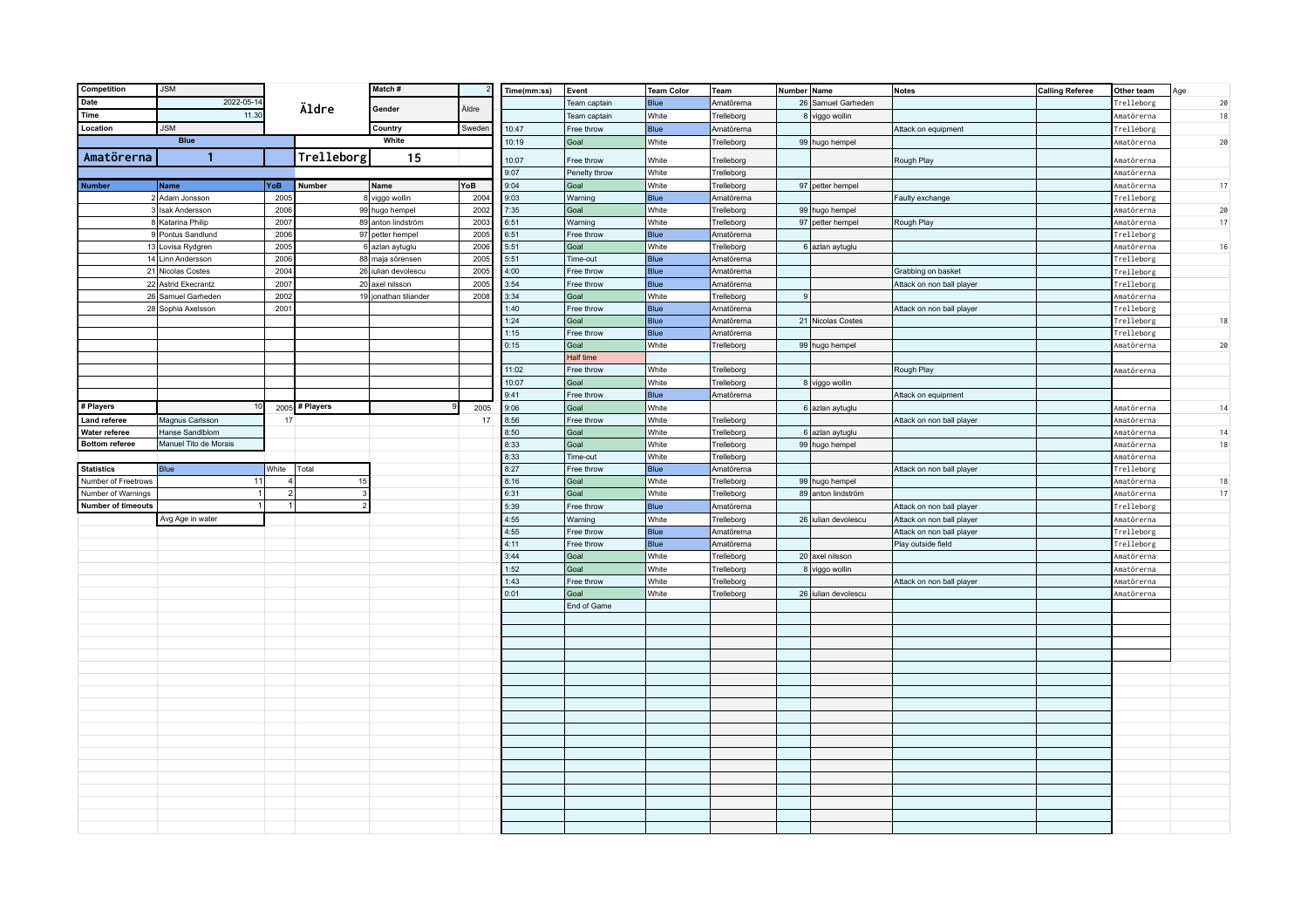| Competition               | <b>JSM</b>            |                         |                | Match #               |        | Time(mm:ss)  | Event                 | Team Color     | Team                     | Number Name |                     | <b>Notes</b>              | <b>Calling Referee</b> | Other team               | Age |
|---------------------------|-----------------------|-------------------------|----------------|-----------------------|--------|--------------|-----------------------|----------------|--------------------------|-------------|---------------------|---------------------------|------------------------|--------------------------|-----|
| Date                      | 2022-05-14            |                         | Äldre          | Gender                | Äldre  |              | Team captain          | <b>Blue</b>    | Amatörerna               |             | 26 Samuel Garheden  |                           |                        | Trelleborg               | 20  |
| Time                      | 11.30                 |                         |                |                       |        |              | Team captain          | White          | Trelleborg               |             | 8 viggo wollin      |                           |                        | Amatörerna               | 18  |
| Location                  | <b>JSM</b>            |                         |                | Country               | Sweder | 10:47        | Free throw            | Blue           | Amatörerna               |             |                     | Attack on equipment       |                        | Trelleborg               |     |
|                           | <b>Blue</b>           |                         |                | White                 |        | 10:19        | Goal                  | White          | Trelleborg               |             | 99 hugo hempel      |                           |                        | Amatörerna               | 20  |
| Amatörerna                | $\mathbf{1}$          |                         | Trelleborg     | 15                    |        |              |                       |                |                          |             |                     |                           |                        |                          |     |
|                           |                       |                         |                |                       |        | 10:07        | Free throw            | White          | Trelleborg               |             |                     | Rough Play                |                        | Amatörerna               |     |
| <b>Number</b>             | Name                  | YoB                     | Number         | Name                  | YoB    | 9:07<br>9:04 | Penelty throw<br>Goal | White<br>White | Trelleborg<br>Trelleborg |             | 97 petter hempel    |                           |                        | Amatörerna<br>Amatörerna | 17  |
|                           | 2 Adam Jonsson        | 2005                    |                | 8 viggo wollin        | 2004   | 9:03         | Warning               | <b>Blue</b>    | Amatörerna               |             |                     |                           |                        | Trelleborg               |     |
|                           | 3 Isak Andersson      | 2006                    |                | 99 hugo hempel        | 2002   | 7:35         | Goal                  | White          | Trelleborg               |             | 99 hugo hempel      | Faulty exchange           |                        | Amatörerna               | 20  |
|                           | 8 Katarina Philip     | 2007                    |                | 89 anton lindström    | 2003   | 6:51         | Warning               | White          | Trelleborg               |             | 97 petter hempel    | Rough Play                |                        | Amatörerna               | 17  |
|                           | 9 Pontus Sandlund     | 2006                    |                | 97 petter hempel      | 2005   | 6:51         | Free throw            | Blue           | Amatörerna               |             |                     |                           |                        | Trelleborg               |     |
|                           | 13 Lovisa Rydgren     | 2005                    |                | 6 azlan aytuglu       | 2006   | 5:51         | Goal                  | White          | Trelleborg               |             | 6 azlan aytuglu     |                           |                        | Amatörerna               | 16  |
|                           | 14 Linn Andersson     | 2006                    |                | 88 maja sörensen      | 2005   | 5:51         | Time-out              | <b>Blue</b>    | Amatörerna               |             |                     |                           |                        | Trelleborg               |     |
|                           | 21 Nicolas Costes     | 2004                    | 26             | ulian devolescu       | 2005   | 4:00         | Free throw            | <b>Blue</b>    | Amatörerna               |             |                     | Grabbing on basket        |                        | Trelleborg               |     |
|                           | 22 Astrid Ekecrantz   | 2007                    |                | 20 axel nilsson       | 2005   | 3:54         | Free throw            | Blue           | Amatörerna               |             |                     | Attack on non ball player |                        | Trelleborg               |     |
|                           | 26 Samuel Garheden    | 2002                    |                | 19 jonathan tiliander | 2008   | 3:34         | Goal                  | White          | Trelleborg               | 9           |                     |                           |                        | Amatörerna               |     |
|                           | 28 Sophia Axelsson    | 2001                    |                |                       |        | 1:40         | Free throw            | Blue           | Amatörerna               |             |                     | Attack on non ball player |                        | Trelleborg               |     |
|                           |                       |                         |                |                       |        | 1:24         | Goal                  | Blue           | Amatörerna               |             | 21 Nicolas Costes   |                           |                        | Trelleborg               | 18  |
|                           |                       |                         |                |                       |        | 1:15         | Free throw            | <b>Blue</b>    | Amatörerna               |             |                     |                           |                        | Trelleborg               |     |
|                           |                       |                         |                |                       |        | 0:15         | Goal                  | White          | Trelleborg               |             | 99 hugo hempel      |                           |                        | Amatörerna               | 20  |
|                           |                       |                         |                |                       |        |              | Half time             |                |                          |             |                     |                           |                        |                          |     |
|                           |                       |                         |                |                       |        | 11:02        | Free throw            | White          | Trelleborg               |             |                     | Rough Play                |                        | Amatörerna               |     |
|                           |                       |                         |                |                       |        | 10:07        | Goal                  | White          | Trelleborg               |             | 8 viggo wollin      |                           |                        |                          |     |
|                           |                       |                         |                |                       |        | 9:41         | Free throw            | Blue           | Amatörerna               |             |                     | Attack on equipment       |                        |                          |     |
| # Players                 |                       | 2005                    | # Players      |                       | 2005   | 9:06         | Goal                  | White          |                          |             | 6 azlan aytuglu     |                           |                        | Amatörerna               | 14  |
| Land referee              | Magnus Carlsson       | 17                      |                |                       | 17     | 8:56         | Free throw            | White          | Trelleborg               |             |                     | Attack on non ball player |                        | Amatörerna               |     |
| Water referee             | Hanse Sandlblom       |                         |                |                       |        | 8:50         | Goal                  | White          | Trelleborg               |             | 6 azlan aytuglu     |                           |                        | Amatörerna               | 14  |
| <b>Bottom referee</b>     | Manuel Tito de Morais |                         |                |                       |        | 8:33         | Goal                  | White          | Trelleborg               |             | 99 hugo hempel      |                           |                        | Amatörerna               | 18  |
|                           |                       |                         |                |                       |        | 8:33         | Time-out              | White          | Trelleborg               |             |                     |                           |                        | Amatörerna               |     |
| <b>Statistics</b>         | <b>Blue</b>           | White                   | Total          |                       |        | 8:27         | Free throw            | <b>Blue</b>    | Amatörerna               |             |                     | Attack on non ball player |                        | Trelleborg               |     |
| Number of Freetrows       | 11                    | $\overline{\mathbf{4}}$ | 15             |                       |        | 8:16         | Goal                  | White          | Trelleborg               |             | 99 hugo hempel      |                           |                        | Amatörerna               | 18  |
| Number of Warnings        |                       | $\overline{2}$          |                |                       |        | 6:31         | Goal                  | White          | Trelleborg               |             | 89 anton lindström  |                           |                        | Amatörerna               | 17  |
| <b>Number of timeouts</b> | -11                   |                         | $\overline{2}$ |                       |        | 5:39         | Free throw            | Blue           | Amatörerna               |             |                     | Attack on non ball player |                        | Trelleborg               |     |
|                           | Avg Age in water      |                         |                |                       |        | 4:55         | Warning               | White          | Trelleborg               |             | 26 iulian devolescu | Attack on non ball player |                        | Amatörerna               |     |
|                           |                       |                         |                |                       |        | 4:55         | Free throw            | Blue           | Amatörerna               |             |                     | Attack on non ball player |                        | Trelleborg               |     |
|                           |                       |                         |                |                       |        | 4:11         | Free throw            | Blue           | Amatörerna               |             |                     | Play outside field        |                        | Trelleborg               |     |
|                           |                       |                         |                |                       |        | 3:44         | Goal                  | White          | Trelleborg               |             | 20 axel nilsson     |                           |                        | Amatörerna               |     |
|                           |                       |                         |                |                       |        | 1:52<br>1:43 | Goal                  | White          | Trelleborg               |             | 8 viggo wollin      |                           |                        | Amatörerna               |     |
|                           |                       |                         |                |                       |        | 0:01         | Free throw<br>Goal    | White<br>White | Trelleborg               |             | 26 iulian devolescu | Attack on non ball player |                        | Amatörerna               |     |
|                           |                       |                         |                |                       |        |              |                       |                | Trelleborg               |             |                     |                           |                        | Amatörerna               |     |
|                           |                       |                         |                |                       |        |              | End of Game           |                |                          |             |                     |                           |                        |                          |     |
|                           |                       |                         |                |                       |        |              |                       |                |                          |             |                     |                           |                        |                          |     |
|                           |                       |                         |                |                       |        |              |                       |                |                          |             |                     |                           |                        |                          |     |
|                           |                       |                         |                |                       |        |              |                       |                |                          |             |                     |                           |                        |                          |     |
|                           |                       |                         |                |                       |        |              |                       |                |                          |             |                     |                           |                        |                          |     |
|                           |                       |                         |                |                       |        |              |                       |                |                          |             |                     |                           |                        |                          |     |
|                           |                       |                         |                |                       |        |              |                       |                |                          |             |                     |                           |                        |                          |     |
|                           |                       |                         |                |                       |        |              |                       |                |                          |             |                     |                           |                        |                          |     |
|                           |                       |                         |                |                       |        |              |                       |                |                          |             |                     |                           |                        |                          |     |
|                           |                       |                         |                |                       |        |              |                       |                |                          |             |                     |                           |                        |                          |     |
|                           |                       |                         |                |                       |        |              |                       |                |                          |             |                     |                           |                        |                          |     |
|                           |                       |                         |                |                       |        |              |                       |                |                          |             |                     |                           |                        |                          |     |
|                           |                       |                         |                |                       |        |              |                       |                |                          |             |                     |                           |                        |                          |     |
|                           |                       |                         |                |                       |        |              |                       |                |                          |             |                     |                           |                        |                          |     |
|                           |                       |                         |                |                       |        |              |                       |                |                          |             |                     |                           |                        |                          |     |
|                           |                       |                         |                |                       |        |              |                       |                |                          |             |                     |                           |                        |                          |     |
|                           |                       |                         |                |                       |        |              |                       |                |                          |             |                     |                           |                        |                          |     |
|                           |                       |                         |                |                       |        |              |                       |                |                          |             |                     |                           |                        |                          |     |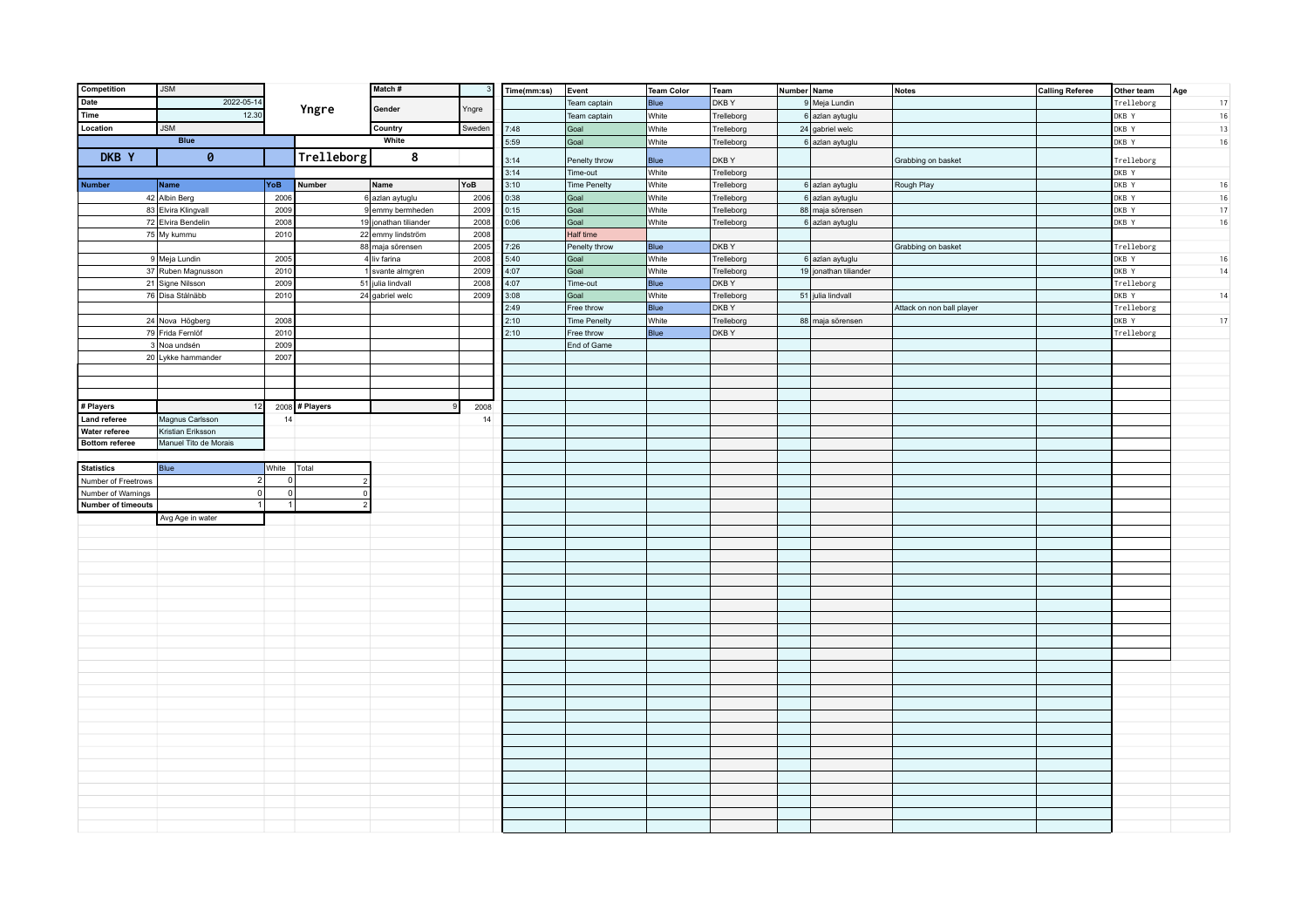| Competition               | <b>JSM</b>            |                |                | Match#                |        | Time(mm:ss)  | Event                     | <b>Team Color</b>    | Team                | Number Name |                       | <b>Notes</b>              | <b>Calling Referee</b> | Other team          | Age    |
|---------------------------|-----------------------|----------------|----------------|-----------------------|--------|--------------|---------------------------|----------------------|---------------------|-------------|-----------------------|---------------------------|------------------------|---------------------|--------|
| Date                      | 2022-05-14            |                |                | Gender                |        |              | Team captain              | <b>Blue</b>          | DKBY                |             | 9 Meja Lundin         |                           |                        | Trelleborg          | 17     |
| Time                      | 12.30                 |                | Yngre          |                       | Yngre  |              | Team captain              | White                | Trelleborg          |             | 6 azlan aytuglu       |                           |                        | DKB Y               | 16     |
| Location                  | <b>JSM</b>            |                |                | Country               | Sweden | 7:48         | Goal                      | White                | Trelleborg          |             | 24 gabriel welc       |                           |                        | DKB Y               | 13     |
|                           | <b>Blue</b>           |                |                | White                 |        | 5:59         | Goal                      | White                | Trelleborg          |             | 6 azlan aytuglu       |                           |                        | DKB Y               | 16     |
| DKB Y                     | $\theta$              |                | Trelleborg     | 8                     |        |              |                           |                      |                     |             |                       |                           |                        |                     |        |
|                           |                       |                |                |                       |        | 3:14<br>3:14 | Penelty throw<br>Time-out | <b>Blue</b><br>White | DKB Y<br>Trelleborg |             |                       | Grabbing on basket        |                        | Trelleborg<br>DKB Y |        |
| <b>Number</b>             | Name                  | YoB            | Number         | Name                  | YoB    | 3:10         | <b>Time Penelty</b>       | White                | Trelleborg          |             | 6 azlan aytuglu       | Rough Play                |                        | DKB Y               | 16     |
|                           | 42 Albin Berg         | 2006           |                | 6 azlan aytuglu       | 2006   | 0:38         | Goal                      | White                | Trelleborg          |             | 6 azlan aytuglu       |                           |                        | DKB Y               | $16\,$ |
|                           | 83 Elvira Klingvall   | 2009           |                | 9 emmy bermheden      | 2009   | 0:15         | Goal                      | White                | Trelleborg          |             | 88 maja sörensen      |                           |                        | DKB Y               | $17\,$ |
|                           | 72 Elvira Bendelin    | 2008           |                | 19 jonathan tiliander | 2008   | 0:06         | Goal                      | White                | Trelleborg          |             | 6 azlan aytuglu       |                           |                        | DKB Y               | 16     |
|                           | 75 My kummu           | 2010           |                | 22 emmy lindström     | 2008   |              | Half time                 |                      |                     |             |                       |                           |                        |                     |        |
|                           |                       |                |                | 88 maja sörensen      | 2005   | 7:26         | Penelty throw             | Blue                 | DKB Y               |             |                       | Grabbing on basket        |                        | Trelleborg          |        |
|                           | 9 Meja Lundin         | 2005           |                | $4$ liv farina        | 2008   | 5:40         | Goal                      | White                | Trelleborg          |             | 6 azlan aytuglu       |                           |                        | DKB Y               | 16     |
|                           | 37 Ruben Magnusson    | 2010           |                | 1 svante almgren      | 2009   | 4:07         | Goal                      | White                | Trelleborg          |             | 19 jonathan tiliander |                           |                        | DKB Y               | 14     |
|                           | 21 Signe Nilsson      | 2009           |                | 51 julia lindvall     | 2008   | 4:07         | Time-out                  | Blue                 | DKB Y               |             |                       |                           |                        | Trelleborg          |        |
|                           | 76 Disa Stålnäbb      | 2010           |                | $24$ gabriel welc     | 2009   | 3:08         | Goal                      | White                | Trelleborg          |             | 51 julia lindvall     |                           |                        | DKB Y               | 14     |
|                           |                       |                |                |                       |        | 2:49         | Free throw                | Blue                 | DKBY                |             |                       | Attack on non ball player |                        | Trelleborg          |        |
|                           | 24 Nova Högberg       | 2008           |                |                       |        | 2:10         | <b>Time Penelty</b>       | White                | Trelleborg          |             | 88 maja sörensen      |                           |                        | DKB Y               | 17     |
|                           | 79 Frida Fernlöf      | 2010           |                |                       |        | 2:10         | Free throw                | Blue                 | DKBY                |             |                       |                           |                        | Trelleborg          |        |
|                           | 3 Noa undsén          | 2009           |                |                       |        |              | End of Game               |                      |                     |             |                       |                           |                        |                     |        |
|                           | 20 Lykke hammander    | 2007           |                |                       |        |              |                           |                      |                     |             |                       |                           |                        |                     |        |
|                           |                       |                |                |                       |        |              |                           |                      |                     |             |                       |                           |                        |                     |        |
|                           |                       |                |                |                       |        |              |                           |                      |                     |             |                       |                           |                        |                     |        |
|                           |                       |                |                |                       |        |              |                           |                      |                     |             |                       |                           |                        |                     |        |
| # Players                 | 12                    |                | 2008 # Players |                       | 2008   |              |                           |                      |                     |             |                       |                           |                        |                     |        |
| <b>Land referee</b>       | Magnus Carlsson       | 14             |                |                       | 14     |              |                           |                      |                     |             |                       |                           |                        |                     |        |
| Water referee             | Kristian Eriksson     |                |                |                       |        |              |                           |                      |                     |             |                       |                           |                        |                     |        |
| <b>Bottom referee</b>     | Manuel Tito de Morais |                |                |                       |        |              |                           |                      |                     |             |                       |                           |                        |                     |        |
| <b>Statistics</b>         | Blue                  | White          | Total          |                       |        |              |                           |                      |                     |             |                       |                           |                        |                     |        |
| Number of Freetrows       | $\overline{2}$        | $\Omega$       | $\overline{2}$ |                       |        |              |                           |                      |                     |             |                       |                           |                        |                     |        |
| Number of Warnings        | 0                     | 0              | $\Omega$       |                       |        |              |                           |                      |                     |             |                       |                           |                        |                     |        |
| <b>Number of timeouts</b> | $\mathbf{1}$          | $\overline{1}$ | $\overline{2}$ |                       |        |              |                           |                      |                     |             |                       |                           |                        |                     |        |
|                           | Avg Age in water      |                |                |                       |        |              |                           |                      |                     |             |                       |                           |                        |                     |        |
|                           |                       |                |                |                       |        |              |                           |                      |                     |             |                       |                           |                        |                     |        |
|                           |                       |                |                |                       |        |              |                           |                      |                     |             |                       |                           |                        |                     |        |
|                           |                       |                |                |                       |        |              |                           |                      |                     |             |                       |                           |                        |                     |        |
|                           |                       |                |                |                       |        |              |                           |                      |                     |             |                       |                           |                        |                     |        |
|                           |                       |                |                |                       |        |              |                           |                      |                     |             |                       |                           |                        |                     |        |
|                           |                       |                |                |                       |        |              |                           |                      |                     |             |                       |                           |                        |                     |        |
|                           |                       |                |                |                       |        |              |                           |                      |                     |             |                       |                           |                        |                     |        |
|                           |                       |                |                |                       |        |              |                           |                      |                     |             |                       |                           |                        |                     |        |
|                           |                       |                |                |                       |        |              |                           |                      |                     |             |                       |                           |                        |                     |        |
|                           |                       |                |                |                       |        |              |                           |                      |                     |             |                       |                           |                        |                     |        |
|                           |                       |                |                |                       |        |              |                           |                      |                     |             |                       |                           |                        |                     |        |
|                           |                       |                |                |                       |        |              |                           |                      |                     |             |                       |                           |                        |                     |        |
|                           |                       |                |                |                       |        |              |                           |                      |                     |             |                       |                           |                        |                     |        |
|                           |                       |                |                |                       |        |              |                           |                      |                     |             |                       |                           |                        |                     |        |
|                           |                       |                |                |                       |        |              |                           |                      |                     |             |                       |                           |                        |                     |        |
|                           |                       |                |                |                       |        |              |                           |                      |                     |             |                       |                           |                        |                     |        |
|                           |                       |                |                |                       |        |              |                           |                      |                     |             |                       |                           |                        |                     |        |
|                           |                       |                |                |                       |        |              |                           |                      |                     |             |                       |                           |                        |                     |        |
|                           |                       |                |                |                       |        |              |                           |                      |                     |             |                       |                           |                        |                     |        |
|                           |                       |                |                |                       |        |              |                           |                      |                     |             |                       |                           |                        |                     |        |
|                           |                       |                |                |                       |        |              |                           |                      |                     |             |                       |                           |                        |                     |        |
|                           |                       |                |                |                       |        |              |                           |                      |                     |             |                       |                           |                        |                     |        |
|                           |                       |                |                |                       |        |              |                           |                      |                     |             |                       |                           |                        |                     |        |
|                           |                       |                |                |                       |        |              |                           |                      |                     |             |                       |                           |                        |                     |        |
|                           |                       |                |                |                       |        |              |                           |                      |                     |             |                       |                           |                        |                     |        |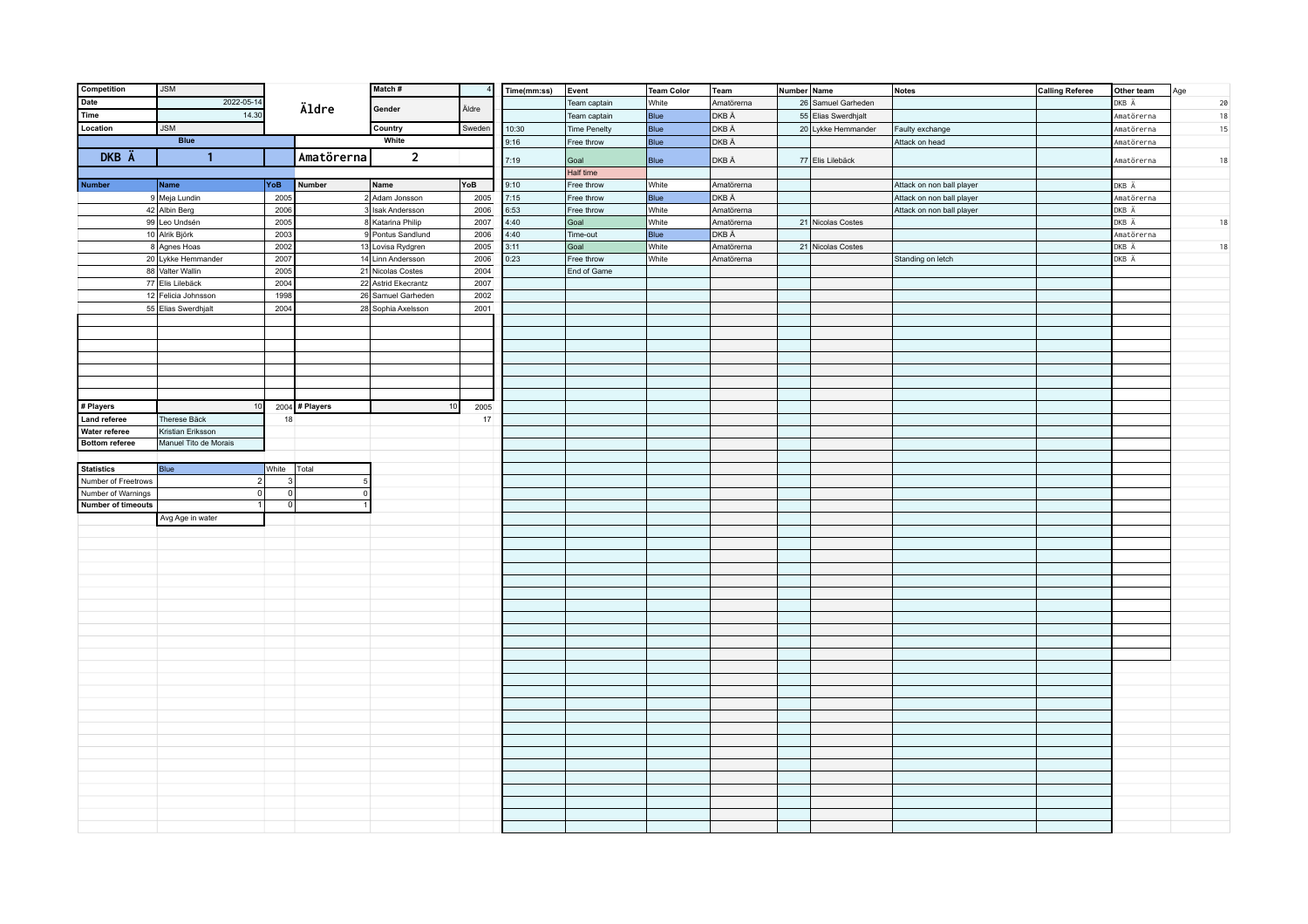| Competition                            | <b>JSM</b>                                 |              |                | Match#              |        | Time(mm:ss) | Event               | Team Color   | Team       | Number Name |                     | <b>Notes</b>              | <b>Calling Referee</b> | Other team | Age    |
|----------------------------------------|--------------------------------------------|--------------|----------------|---------------------|--------|-------------|---------------------|--------------|------------|-------------|---------------------|---------------------------|------------------------|------------|--------|
| Date                                   | 2022-05-14                                 |              | Äldre          |                     |        |             | Team captain        | White        | Amatörerna |             | 26 Samuel Garheden  |                           |                        | DKB Ä      | 20     |
| Time                                   | 14.30                                      |              |                | Gender              | Äldre  |             | Team captain        | Blue         | DKB Ä      |             | 55 Elias Swerdhjalt |                           |                        | Amatörerna | 18     |
| Location                               | <b>JSM</b>                                 |              |                | Country             | Sweden | 10:30       | <b>Time Penelty</b> | Blue         | DKB Ä      |             | 20 Lykke Hemmander  | Faulty exchange           |                        | Amatörerna | 15     |
|                                        | <b>Blue</b>                                |              |                | White               |        | 9:16        | Free throw          | Blue         | DKB Ä      |             |                     | Attack on head            |                        | Amatörerna |        |
| DKB Ä                                  | $\overline{1}$                             |              | Amatörerna     | $\overline{2}$      |        |             |                     |              | DKB Ä      |             |                     |                           |                        |            |        |
|                                        |                                            |              |                |                     |        | 7:19        | Goal<br>Half time   | Blue         |            |             | 77 Elis Lilebäck    |                           |                        | Amatörerna | 18     |
| <b>Number</b>                          | $\sqrt{\frac{1}{2}}$ Name                  | YoB          | Number         | Name                | YoB    | 9:10        | Free throw          | White        | Amatörerna |             |                     | Attack on non ball player |                        | DKB Ä      |        |
|                                        | 9 Meja Lundin                              | 2005         |                | 2 Adam Jonsson      | 2005   | 7:15        | Free throw          | Blue         | DKB Ä      |             |                     | Attack on non ball player |                        | Amatörerna |        |
|                                        | 42 Albin Berg                              | 2006         |                | 3 Isak Andersson    | 2006   | 6:53        | Free throw          | White        | Amatörerna |             |                     | Attack on non ball player |                        | DKB Ä      |        |
|                                        | 99 Leo Undsén                              | 2005         |                | 8 Katarina Philip   | 2007   | 4:40        | Goal                | White        | Amatörerna |             | 21 Nicolas Costes   |                           |                        | DKB Ä      | 18     |
|                                        | 10 Alrik Björk                             | 2003         |                | 9 Pontus Sandlund   | 2006   | 4:40        | Time-out            | Blue         | DKB Ä      |             |                     |                           |                        | Amatörerna |        |
|                                        | 8 Agnes Hoas                               | 2002         |                | 13 Lovisa Rydgren   | 2005   | 3:11        | Goal                | White        | Amatörerna |             | 21 Nicolas Costes   |                           |                        | DKB Ä      | $18\,$ |
|                                        | 20 Lykke Hemmander                         | 2007         |                | 14 Linn Andersson   | 2006   | 0:23        | Free throw          | <b>White</b> | Amatörerna |             |                     | Standing on letch         |                        | DKB Ä      |        |
|                                        | 88 Valter Wallin                           | 2005         |                | 21 Nicolas Costes   | 2004   |             | End of Game         |              |            |             |                     |                           |                        |            |        |
|                                        | 77 Elis Lilebäck                           | 2004         |                | 22 Astrid Ekecrantz | 2007   |             |                     |              |            |             |                     |                           |                        |            |        |
|                                        | 12 Felicia Johnsson                        | 1998         |                | 26 Samuel Garheden  | 2002   |             |                     |              |            |             |                     |                           |                        |            |        |
|                                        | 55 Elias Swerdhjalt                        | 2004         |                | 28 Sophia Axelsson  | 2001   |             |                     |              |            |             |                     |                           |                        |            |        |
|                                        |                                            |              |                |                     |        |             |                     |              |            |             |                     |                           |                        |            |        |
|                                        |                                            |              |                |                     |        |             |                     |              |            |             |                     |                           |                        |            |        |
|                                        |                                            |              |                |                     |        |             |                     |              |            |             |                     |                           |                        |            |        |
|                                        |                                            |              |                |                     |        |             |                     |              |            |             |                     |                           |                        |            |        |
|                                        |                                            |              |                |                     |        |             |                     |              |            |             |                     |                           |                        |            |        |
|                                        |                                            |              |                |                     |        |             |                     |              |            |             |                     |                           |                        |            |        |
|                                        |                                            |              |                |                     |        |             |                     |              |            |             |                     |                           |                        |            |        |
| # Players                              | 10                                         |              | 2004 # Players | 10                  | 2005   |             |                     |              |            |             |                     |                           |                        |            |        |
| Land referee                           | Therese Bäck                               | 18           |                |                     | 17     |             |                     |              |            |             |                     |                           |                        |            |        |
| Water referee<br><b>Bottom referee</b> | Kristian Eriksson<br>Manuel Tito de Morais |              |                |                     |        |             |                     |              |            |             |                     |                           |                        |            |        |
|                                        |                                            |              |                |                     |        |             |                     |              |            |             |                     |                           |                        |            |        |
| <b>Statistics</b>                      | Blue                                       | White        | Total          |                     |        |             |                     |              |            |             |                     |                           |                        |            |        |
| Number of Freetrows                    | 2 <sup>1</sup>                             | $\mathbf{3}$ |                |                     |        |             |                     |              |            |             |                     |                           |                        |            |        |
| Number of Warnings                     | 0                                          | 0            | $\Omega$       |                     |        |             |                     |              |            |             |                     |                           |                        |            |        |
| <b>Number of timeouts</b>              | $\vert$ 1                                  | 0            |                |                     |        |             |                     |              |            |             |                     |                           |                        |            |        |
|                                        | Avg Age in water                           |              |                |                     |        |             |                     |              |            |             |                     |                           |                        |            |        |
|                                        |                                            |              |                |                     |        |             |                     |              |            |             |                     |                           |                        |            |        |
|                                        |                                            |              |                |                     |        |             |                     |              |            |             |                     |                           |                        |            |        |
|                                        |                                            |              |                |                     |        |             |                     |              |            |             |                     |                           |                        |            |        |
|                                        |                                            |              |                |                     |        |             |                     |              |            |             |                     |                           |                        |            |        |
|                                        |                                            |              |                |                     |        |             |                     |              |            |             |                     |                           |                        |            |        |
|                                        |                                            |              |                |                     |        |             |                     |              |            |             |                     |                           |                        |            |        |
|                                        |                                            |              |                |                     |        |             |                     |              |            |             |                     |                           |                        |            |        |
|                                        |                                            |              |                |                     |        |             |                     |              |            |             |                     |                           |                        |            |        |
|                                        |                                            |              |                |                     |        |             |                     |              |            |             |                     |                           |                        |            |        |
|                                        |                                            |              |                |                     |        |             |                     |              |            |             |                     |                           |                        |            |        |
|                                        |                                            |              |                |                     |        |             |                     |              |            |             |                     |                           |                        |            |        |
|                                        |                                            |              |                |                     |        |             |                     |              |            |             |                     |                           |                        |            |        |
|                                        |                                            |              |                |                     |        |             |                     |              |            |             |                     |                           |                        |            |        |
|                                        |                                            |              |                |                     |        |             |                     |              |            |             |                     |                           |                        |            |        |
|                                        |                                            |              |                |                     |        |             |                     |              |            |             |                     |                           |                        |            |        |
|                                        |                                            |              |                |                     |        |             |                     |              |            |             |                     |                           |                        |            |        |
|                                        |                                            |              |                |                     |        |             |                     |              |            |             |                     |                           |                        |            |        |
|                                        |                                            |              |                |                     |        |             |                     |              |            |             |                     |                           |                        |            |        |
|                                        |                                            |              |                |                     |        |             |                     |              |            |             |                     |                           |                        |            |        |
|                                        |                                            |              |                |                     |        |             |                     |              |            |             |                     |                           |                        |            |        |
|                                        |                                            |              |                |                     |        |             |                     |              |            |             |                     |                           |                        |            |        |
|                                        |                                            |              |                |                     |        |             |                     |              |            |             |                     |                           |                        |            |        |
|                                        |                                            |              |                |                     |        |             |                     |              |            |             |                     |                           |                        |            |        |
|                                        |                                            |              |                |                     |        |             |                     |              |            |             |                     |                           |                        |            |        |
|                                        |                                            |              |                |                     |        |             |                     |              |            |             |                     |                           |                        |            |        |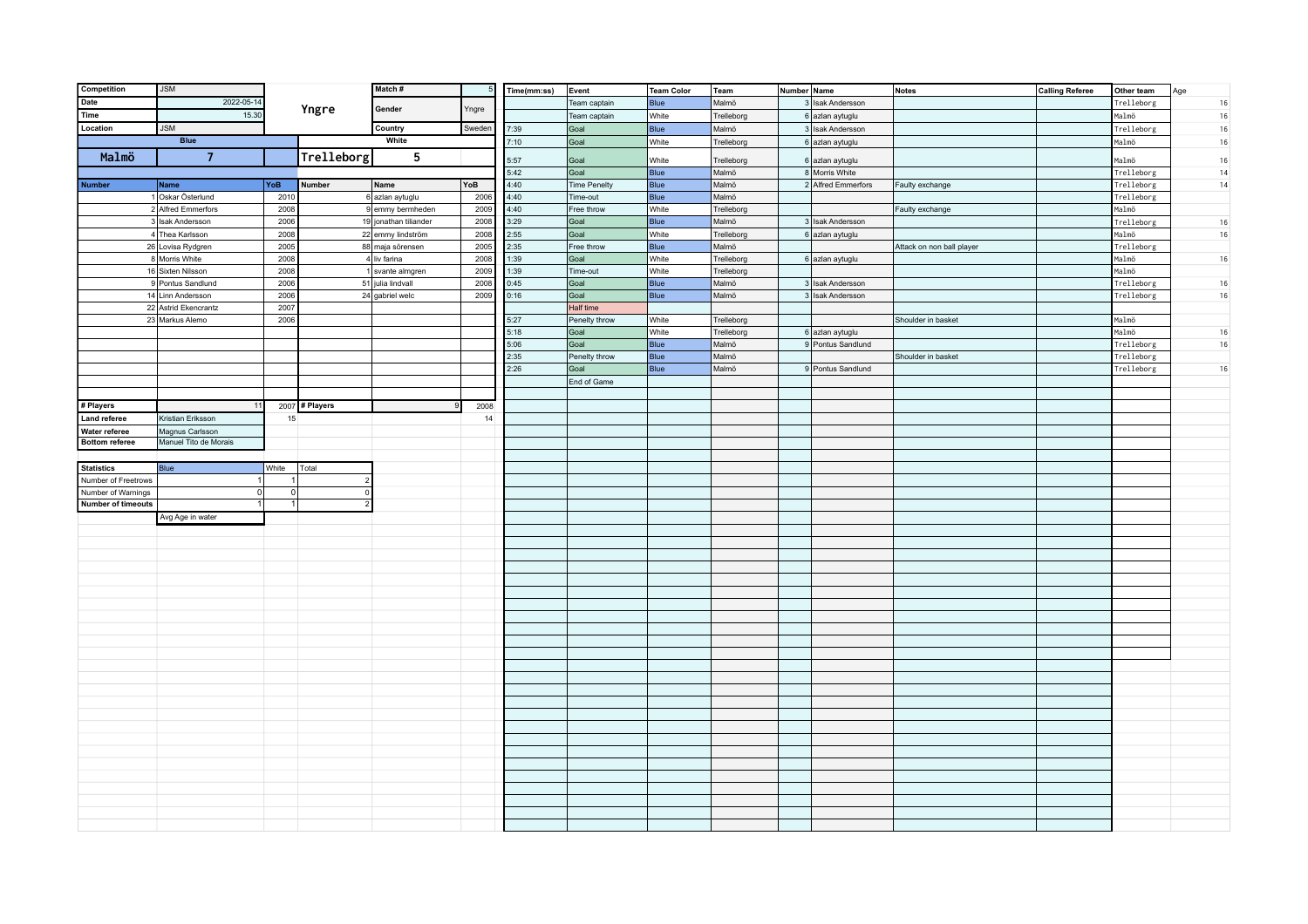| Competition                            | <b>JSM</b>                               |              |                | Match#                                |              | Time(mm:ss)  | Event                 | Team Color           | Team                     | Number Name        | <b>Notes</b>              | <b>Calling Referee</b> | Other team          | Age    |
|----------------------------------------|------------------------------------------|--------------|----------------|---------------------------------------|--------------|--------------|-----------------------|----------------------|--------------------------|--------------------|---------------------------|------------------------|---------------------|--------|
| Date                                   | 2022-05-14                               |              |                | Gender                                |              |              | Team captain          | Blue                 | Malmö                    | 3 Isak Andersson   |                           |                        | Trelleborg          | $16\,$ |
| Time                                   | 15.30                                    |              | Yngre          |                                       | Yngre        |              | Team captain          | White                | Trelleborg               | 6 azlan aytuglu    |                           |                        | Malmö               | 16     |
| Location                               | <b>JSM</b>                               |              |                | Country                               | Sweden       | 7:39         | Goal                  | Blue                 | Malmö                    | 3 Isak Andersson   |                           |                        | Trelleborg          | 16     |
|                                        | <b>Blue</b>                              |              |                | White                                 |              | 7:10         | Goal                  | White                | Trelleborg               | 6 azlan aytuglu    |                           |                        | Malmö               | 16     |
| Malmö                                  | $\overline{7}$                           |              | Trelleborg     | 5                                     |              |              |                       |                      |                          |                    |                           |                        |                     |        |
|                                        |                                          |              |                |                                       |              | 5:57         | Goal                  | White                | Trelleborg               | 6 azlan aytuglu    |                           |                        | Malmö               | $16$   |
|                                        |                                          |              |                |                                       |              | 5:42         | Goal                  | <b>Blue</b>          | Malmö                    | 8 Morris White     |                           |                        | Trelleborg          | 14     |
| <b>Number</b>                          | Name                                     | YoB          | <b>Number</b>  | Name                                  | YoB          | 4:40         | <b>Time Penelty</b>   | Blue                 | Malmö                    | 2 Alfred Emmerfors | Faulty exchange           |                        | Trelleborg          | 14     |
|                                        | 1 Oskar Österlund                        | 2010         |                | 6 azlan aytuglu                       | 2006         | 4:40         | Time-out              | Blue                 | Malmö                    |                    |                           |                        | Trelleborg          |        |
|                                        | 2 Alfred Emmerfors                       | 2008         |                | 9 emmy bermheden                      | 2009         | 4:40         | Free throw<br>Goal    | White<br>Blue        | Trelleborg               |                    | Faulty exchange           |                        | Malmö               |        |
|                                        | 3 Isak Andersson                         | 2006         |                | 19 jonathan tiliander                 | 2008         | 3:29<br>2:55 | Goal                  |                      | Malmö                    | 3 Isak Andersson   |                           |                        | Trelleborg          | 16     |
|                                        | 4 Thea Karlsson<br>26 Lovisa Rydgren     | 2008<br>2005 |                | 22 emmy lindström<br>88 maja sörensen | 2008<br>2005 | 2:35         |                       | White<br><b>Blue</b> | Trelleborg<br>Malmö      | 6 azlan aytuglu    |                           |                        | Malmö<br>Trelleborg | 16     |
|                                        | 8 Morris White                           |              |                | 4 liv farina                          |              |              | Free throw<br>Goal    |                      |                          |                    | Attack on non ball player |                        |                     |        |
|                                        |                                          | 2008         |                |                                       | 2008         | 1:39         |                       | White                | Trelleborg               | 6 azlan aytuglu    |                           |                        | Malmö               | 16     |
|                                        | 16 Sixten Nilsson<br>9 Pontus Sandlund   | 2008         |                | 1 svante almgren                      | 2009<br>2008 | 1:39<br>0:45 | Time-out<br>Goal      | White<br>Blue        | Trelleborg               |                    |                           |                        | Malmö               |        |
|                                        |                                          | 2006         |                | 51 julia lindvall                     |              |              |                       | Blue                 | Malmö                    | 3 Isak Andersson   |                           |                        | Trelleborg          | 16     |
|                                        | 14 Linn Andersson                        | 2006         |                | 24 gabriel welc                       | 2009         | 0:16         | Goal                  |                      | Malmö                    | 3 Isak Andersson   |                           |                        | Trelleborg          | 16     |
|                                        | 22 Astrid Ekencrantz                     | 2007         |                |                                       |              |              | Half time             |                      |                          |                    |                           |                        |                     |        |
|                                        | 23 Markus Alemo                          | 2006         |                |                                       |              | 5:27<br>5:18 | Penelty throw<br>Goal | White<br>White       | Trelleborg<br>Trelleborg |                    | Shoulder in basket        |                        | Malmö<br>Malmö      | 16     |
|                                        |                                          |              |                |                                       |              | 5:06         | Goal                  | Blue                 |                          | 6 azlan aytuglu    |                           |                        | Trelleborg          |        |
|                                        |                                          |              |                |                                       |              | 2:35         |                       | Blue                 | Malmö<br>Malmö           | 9 Pontus Sandlund  |                           |                        | Trelleborg          | 16     |
|                                        |                                          |              |                |                                       |              | 2:26         | Penelty throw<br>Goal | Blue                 | Malmö                    | 9 Pontus Sandlund  | Shoulder in basket        |                        | Trelleborg          |        |
|                                        |                                          |              |                |                                       |              |              |                       |                      |                          |                    |                           |                        |                     | 16     |
|                                        |                                          |              |                |                                       |              |              | End of Game           |                      |                          |                    |                           |                        |                     |        |
|                                        |                                          |              |                |                                       |              |              |                       |                      |                          |                    |                           |                        |                     |        |
| # Players                              |                                          |              | 2007 # Players |                                       | 2008         |              |                       |                      |                          |                    |                           |                        |                     |        |
| <b>Land referee</b>                    | Kristian Eriksson                        | 15           |                |                                       | 14           |              |                       |                      |                          |                    |                           |                        |                     |        |
| Water referee<br><b>Bottom referee</b> | Magnus Carlsson<br>Manuel Tito de Morais |              |                |                                       |              |              |                       |                      |                          |                    |                           |                        |                     |        |
|                                        |                                          |              |                |                                       |              |              |                       |                      |                          |                    |                           |                        |                     |        |
| <b>Statistics</b>                      | Blue                                     | White        | Total          |                                       |              |              |                       |                      |                          |                    |                           |                        |                     |        |
| Number of Freetrows                    | $\vert$                                  | 1            |                |                                       |              |              |                       |                      |                          |                    |                           |                        |                     |        |
| Number of Warnings                     | 0                                        | 0            | $\mathbf{r}$   |                                       |              |              |                       |                      |                          |                    |                           |                        |                     |        |
| <b>Number of timeouts</b>              | 1                                        | 1            |                |                                       |              |              |                       |                      |                          |                    |                           |                        |                     |        |
|                                        | Avg Age in water                         |              |                |                                       |              |              |                       |                      |                          |                    |                           |                        |                     |        |
|                                        |                                          |              |                |                                       |              |              |                       |                      |                          |                    |                           |                        |                     |        |
|                                        |                                          |              |                |                                       |              |              |                       |                      |                          |                    |                           |                        |                     |        |
|                                        |                                          |              |                |                                       |              |              |                       |                      |                          |                    |                           |                        |                     |        |
|                                        |                                          |              |                |                                       |              |              |                       |                      |                          |                    |                           |                        |                     |        |
|                                        |                                          |              |                |                                       |              |              |                       |                      |                          |                    |                           |                        |                     |        |
|                                        |                                          |              |                |                                       |              |              |                       |                      |                          |                    |                           |                        |                     |        |
|                                        |                                          |              |                |                                       |              |              |                       |                      |                          |                    |                           |                        |                     |        |
|                                        |                                          |              |                |                                       |              |              |                       |                      |                          |                    |                           |                        |                     |        |
|                                        |                                          |              |                |                                       |              |              |                       |                      |                          |                    |                           |                        |                     |        |
|                                        |                                          |              |                |                                       |              |              |                       |                      |                          |                    |                           |                        |                     |        |
|                                        |                                          |              |                |                                       |              |              |                       |                      |                          |                    |                           |                        |                     |        |
|                                        |                                          |              |                |                                       |              |              |                       |                      |                          |                    |                           |                        |                     |        |
|                                        |                                          |              |                |                                       |              |              |                       |                      |                          |                    |                           |                        |                     |        |
|                                        |                                          |              |                |                                       |              |              |                       |                      |                          |                    |                           |                        |                     |        |
|                                        |                                          |              |                |                                       |              |              |                       |                      |                          |                    |                           |                        |                     |        |
|                                        |                                          |              |                |                                       |              |              |                       |                      |                          |                    |                           |                        |                     |        |
|                                        |                                          |              |                |                                       |              |              |                       |                      |                          |                    |                           |                        |                     |        |
|                                        |                                          |              |                |                                       |              |              |                       |                      |                          |                    |                           |                        |                     |        |
|                                        |                                          |              |                |                                       |              |              |                       |                      |                          |                    |                           |                        |                     |        |
|                                        |                                          |              |                |                                       |              |              |                       |                      |                          |                    |                           |                        |                     |        |
|                                        |                                          |              |                |                                       |              |              |                       |                      |                          |                    |                           |                        |                     |        |
|                                        |                                          |              |                |                                       |              |              |                       |                      |                          |                    |                           |                        |                     |        |
|                                        |                                          |              |                |                                       |              |              |                       |                      |                          |                    |                           |                        |                     |        |
|                                        |                                          |              |                |                                       |              |              |                       |                      |                          |                    |                           |                        |                     |        |
|                                        |                                          |              |                |                                       |              |              |                       |                      |                          |                    |                           |                        |                     |        |
|                                        |                                          |              |                |                                       |              |              |                       |                      |                          |                    |                           |                        |                     |        |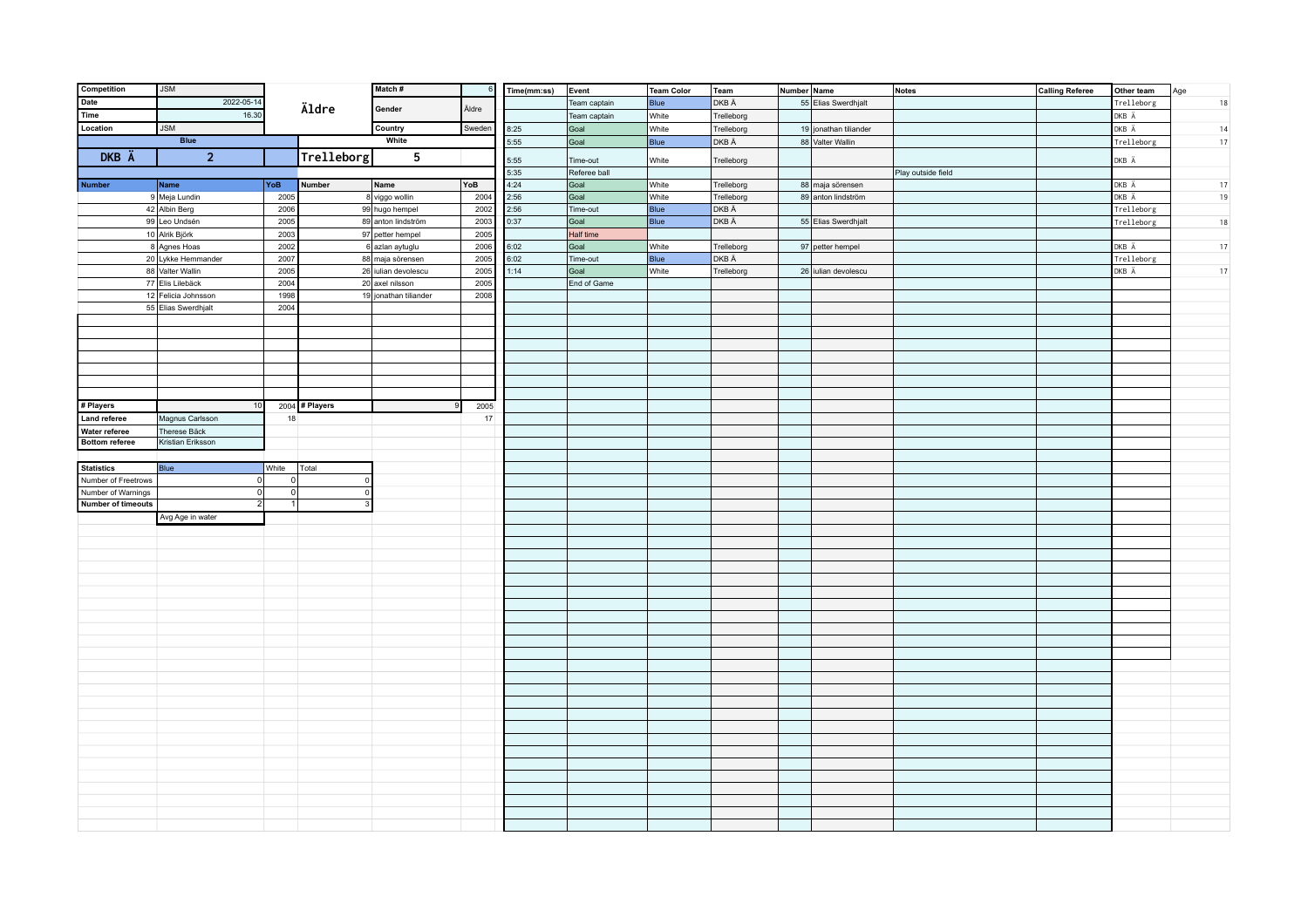| Competition               | <b>JSM</b>          |             |                  | Match#                |        | Time(mm:ss) | Event        | Team Color | Team       | Number Name |                       | Notes              | <b>Calling Referee</b> | Other team | Age |
|---------------------------|---------------------|-------------|------------------|-----------------------|--------|-------------|--------------|------------|------------|-------------|-----------------------|--------------------|------------------------|------------|-----|
| Date                      | 2022-05-14          |             |                  |                       |        |             | Team captain | Blue       | DKB Ä      |             | 55 Elias Swerdhjalt   |                    |                        | Trelleborg | 18  |
| Time                      | 16.30               |             | Äldre            | Gender                | Äldre  |             | Team captain | White      | Trelleborg |             |                       |                    |                        | DKB Ä      |     |
| Location                  | <b>JSM</b>          |             |                  | Country               | Sweden | 8:25        | Goal         | White      | Trelleborg |             | 19 jonathan tiliander |                    |                        | DKB Ä      | 14  |
|                           | <b>Blue</b>         |             |                  | White                 |        | 5:55        | Goal         | Blue       | DKB Ä      |             | 88 Valter Wallin      |                    |                        | Trelleborg | 17  |
| DKB Ä                     | 2 <sup>2</sup>      |             | Trelleborg       | 5                     |        |             |              |            |            |             |                       |                    |                        |            |     |
|                           |                     |             |                  |                       |        | 5:55        | Time-out     | White      | Trelleborg |             |                       |                    |                        | DKB Ä      |     |
|                           |                     |             |                  |                       |        | 5:35        | Referee ball |            |            |             |                       | Play outside field |                        |            |     |
| <b>Number</b>             | Name                | YoB         | Number           | Name                  | YoB    | 4:24        | Goal         | White      | Trelleborg |             | 88 maja sörensen      |                    |                        | DKB Ä      | 17  |
|                           | 9 Meja Lundin       | 2005        |                  | 8 viggo wollin        | 2004   | 2:56        | Goal         | White      | Trelleborg |             | 89 anton lindström    |                    |                        | DKB Ä      | 19  |
|                           | 42 Albin Berg       | 2006        |                  | 99 hugo hempel        | 2002   | 2:56        | Time-out     | Blue       | DKB Ä      |             |                       |                    |                        | Trelleborg |     |
|                           | 99 Leo Undsén       | 2005        |                  | 89 anton lindström    | 2003   | 0:37        | Goal         | Blue       | DKB Ä      |             | 55 Elias Swerdhjalt   |                    |                        | Trelleborg | 18  |
|                           | 10 Alrik Björk      | 2003        |                  | 97 petter hempel      | 2005   |             | Half time    |            |            |             |                       |                    |                        |            |     |
|                           | 8 Agnes Hoas        | 2002        |                  | 6 azlan aytuglu       | 2006   | 6:02        | Goal         | White      | Trelleborg |             | 97 petter hempel      |                    |                        | DKB Ä      | 17  |
|                           | 20 Lykke Hemmander  | 2007        |                  | 88 maja sörensen      | 2005   | 6:02        | Time-out     | Blue       | DKB Ä      |             |                       |                    |                        | Trelleborg |     |
|                           | 88 Valter Wallin    | 2005        |                  | 26 iulian devolescu   | 2005   | 1:14        | Goal         | White      | Trelleborg |             | 26 iulian devolescu   |                    |                        | DKB Ä      | 17  |
|                           | 77 Elis Lilebäck    | 2004        |                  | 20 axel nilsson       | 2005   |             | End of Game  |            |            |             |                       |                    |                        |            |     |
|                           | 12 Felicia Johnsson | 1998        |                  | 19 jonathan tiliander | 2008   |             |              |            |            |             |                       |                    |                        |            |     |
|                           | 55 Elias Swerdhjalt | 2004        |                  |                       |        |             |              |            |            |             |                       |                    |                        |            |     |
|                           |                     |             |                  |                       |        |             |              |            |            |             |                       |                    |                        |            |     |
|                           |                     |             |                  |                       |        |             |              |            |            |             |                       |                    |                        |            |     |
|                           |                     |             |                  |                       |        |             |              |            |            |             |                       |                    |                        |            |     |
|                           |                     |             |                  |                       |        |             |              |            |            |             |                       |                    |                        |            |     |
|                           |                     |             |                  |                       |        |             |              |            |            |             |                       |                    |                        |            |     |
|                           |                     |             |                  |                       |        |             |              |            |            |             |                       |                    |                        |            |     |
|                           |                     |             |                  |                       |        |             |              |            |            |             |                       |                    |                        |            |     |
| # Players                 | 10                  |             | $2004$ # Players |                       | 2005   |             |              |            |            |             |                       |                    |                        |            |     |
| <b>Land referee</b>       | Magnus Carlsson     | 18          |                  |                       | 17     |             |              |            |            |             |                       |                    |                        |            |     |
| Water referee             | Therese Bäck        |             |                  |                       |        |             |              |            |            |             |                       |                    |                        |            |     |
| <b>Bottom referee</b>     | Kristian Eriksson   |             |                  |                       |        |             |              |            |            |             |                       |                    |                        |            |     |
|                           |                     |             |                  |                       |        |             |              |            |            |             |                       |                    |                        |            |     |
| <b>Statistics</b>         | Blue                | White       | Total            |                       |        |             |              |            |            |             |                       |                    |                        |            |     |
| Number of Freetrows       | 0                   | $\Omega$    | $\Omega$         |                       |        |             |              |            |            |             |                       |                    |                        |            |     |
| Number of Warnings        | 0                   | $\mathbf 0$ | $\Omega$         |                       |        |             |              |            |            |             |                       |                    |                        |            |     |
| <b>Number of timeouts</b> | 2                   | 1           |                  |                       |        |             |              |            |            |             |                       |                    |                        |            |     |
|                           | Avg Age in water    |             |                  |                       |        |             |              |            |            |             |                       |                    |                        |            |     |
|                           |                     |             |                  |                       |        |             |              |            |            |             |                       |                    |                        |            |     |
|                           |                     |             |                  |                       |        |             |              |            |            |             |                       |                    |                        |            |     |
|                           |                     |             |                  |                       |        |             |              |            |            |             |                       |                    |                        |            |     |
|                           |                     |             |                  |                       |        |             |              |            |            |             |                       |                    |                        |            |     |
|                           |                     |             |                  |                       |        |             |              |            |            |             |                       |                    |                        |            |     |
|                           |                     |             |                  |                       |        |             |              |            |            |             |                       |                    |                        |            |     |
|                           |                     |             |                  |                       |        |             |              |            |            |             |                       |                    |                        |            |     |
|                           |                     |             |                  |                       |        |             |              |            |            |             |                       |                    |                        |            |     |
|                           |                     |             |                  |                       |        |             |              |            |            |             |                       |                    |                        |            |     |
|                           |                     |             |                  |                       |        |             |              |            |            |             |                       |                    |                        |            |     |
|                           |                     |             |                  |                       |        |             |              |            |            |             |                       |                    |                        |            |     |
|                           |                     |             |                  |                       |        |             |              |            |            |             |                       |                    |                        |            |     |
|                           |                     |             |                  |                       |        |             |              |            |            |             |                       |                    |                        |            |     |
|                           |                     |             |                  |                       |        |             |              |            |            |             |                       |                    |                        |            |     |
|                           |                     |             |                  |                       |        |             |              |            |            |             |                       |                    |                        |            |     |
|                           |                     |             |                  |                       |        |             |              |            |            |             |                       |                    |                        |            |     |
|                           |                     |             |                  |                       |        |             |              |            |            |             |                       |                    |                        |            |     |
|                           |                     |             |                  |                       |        |             |              |            |            |             |                       |                    |                        |            |     |
|                           |                     |             |                  |                       |        |             |              |            |            |             |                       |                    |                        |            |     |
|                           |                     |             |                  |                       |        |             |              |            |            |             |                       |                    |                        |            |     |
|                           |                     |             |                  |                       |        |             |              |            |            |             |                       |                    |                        |            |     |
|                           |                     |             |                  |                       |        |             |              |            |            |             |                       |                    |                        |            |     |
|                           |                     |             |                  |                       |        |             |              |            |            |             |                       |                    |                        |            |     |
|                           |                     |             |                  |                       |        |             |              |            |            |             |                       |                    |                        |            |     |
|                           |                     |             |                  |                       |        |             |              |            |            |             |                       |                    |                        |            |     |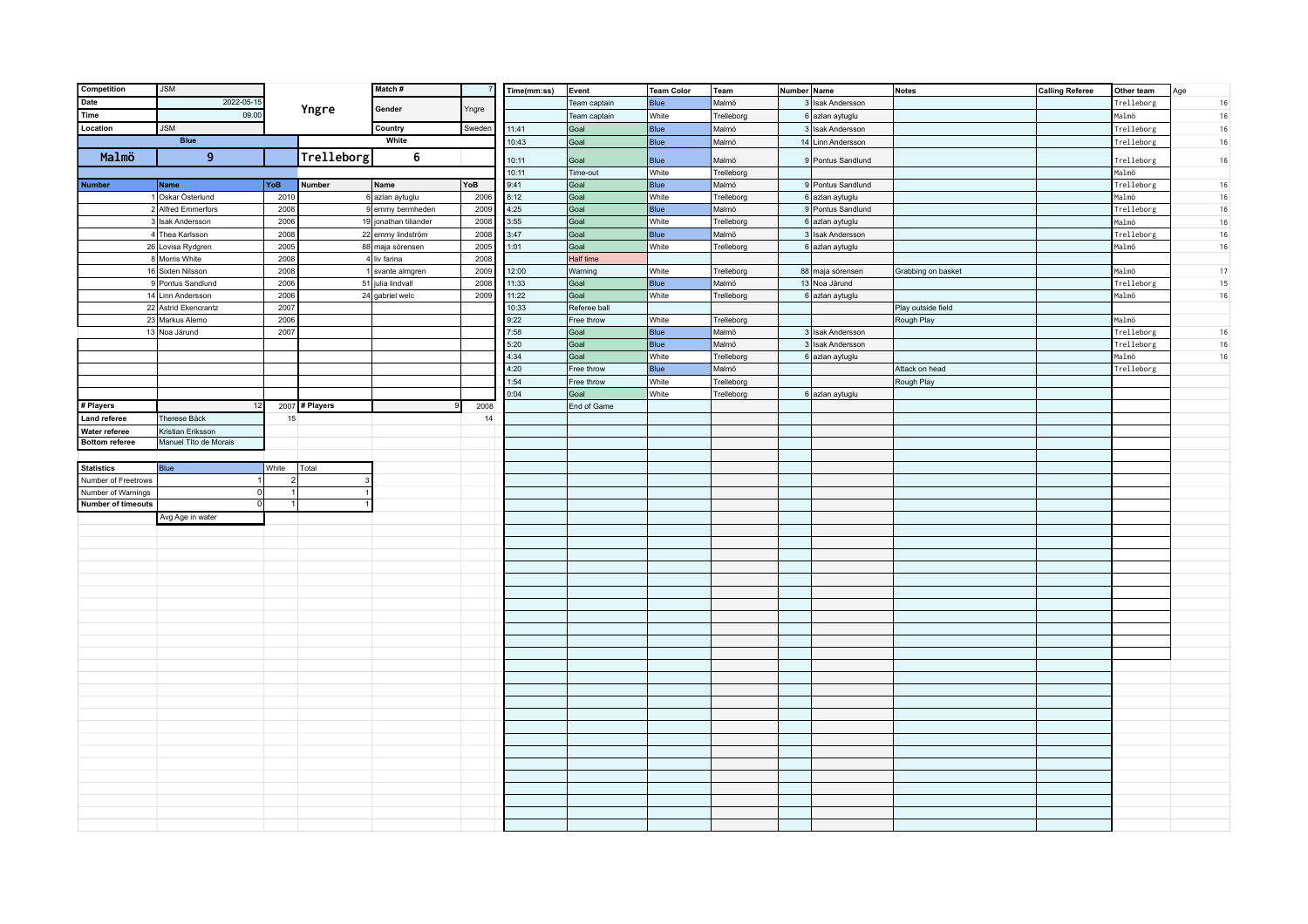| Competition               | <b>JSM</b>                |                  |                | Match#                              |             | Time(mm:ss)  | Event        | Team Color    | Team                | Number Name                          | <b>Notes</b>       | <b>Calling Referee</b> | Other team          | Age              |
|---------------------------|---------------------------|------------------|----------------|-------------------------------------|-------------|--------------|--------------|---------------|---------------------|--------------------------------------|--------------------|------------------------|---------------------|------------------|
| Date                      | 2022-05-15                |                  |                | Gender                              |             |              | Team captain | Blue          | Malmö               | 3 Isak Andersson                     |                    |                        | Trelleborg          | $16\,$           |
| Time                      | 09.00                     |                  | Yngre          |                                     | Yngre       |              | Team captain | White         | Trelleborg          | 6 azlan aytuglu                      |                    |                        | Malmö               | 16               |
| Location                  | <b>JSM</b>                |                  |                | Country                             | Sweden      | 11:41        | Goal         | Blue          | Malmö               | 3 Isak Andersson                     |                    |                        | Trelleborg          | 16               |
|                           | <b>Blue</b>               |                  |                | White                               |             | 10:43        | Goal         | <b>Blue</b>   | Malmö               | 14 Linn Andersson                    |                    |                        | Trelleborg          | 16               |
| Malmö                     | 9                         |                  | Trelleborg     | 6                                   |             |              |              |               |                     |                                      |                    |                        |                     |                  |
|                           |                           |                  |                |                                     |             | 10:11        | Goal         | <b>Blue</b>   | Malmö               | 9 Pontus Sandlund                    |                    |                        | Trelleborg          | 16               |
|                           |                           |                  |                |                                     |             | 10:11        | Time-out     | White         | Trelleborg          | 9 Pontus Sandlund                    |                    |                        | Malmö               |                  |
| <b>Number</b>             | Name<br>1 Oskar Österlund | YoB<br>2010      | <b>Number</b>  | Name                                | YoB<br>2006 | 9:41         | Goal<br>Goal | Blue<br>White | Malmö<br>Trelleborg |                                      |                    |                        | Trelleborg<br>Malmö | 16               |
|                           | 2 Alfred Emmerfors        | 2008             |                | 6 azlan aytuglu<br>9 emmy bermheden | 2009        | 8:12<br>4:25 | Goal         | Blue          | Malmö               | 6 azlan aytuglu<br>9 Pontus Sandlund |                    |                        | Trelleborg          | $16\,$<br>$16\,$ |
|                           | 3 Isak Andersson          | 2006             |                | 19 jonathan tiliander               | 2008        | 3:55         | Goal         | White         | Trelleborg          | 6 azlan aytuglu                      |                    |                        | Malmö               | 16               |
|                           | 4 Thea Karlsson           | 2008             |                | 22 emmy lindström                   | 2008        | 3:47         | Goal         | Blue          | Malmö               | 3 Isak Andersson                     |                    |                        | Trelleborg          | 16               |
|                           | 26 Lovisa Rydgren         | 2005             |                | 88 maja sörensen                    | 2005        | 1:01         | Goal         | White         | Trelleborg          | 6 azlan aytuglu                      |                    |                        | Malmö               | $16\,$           |
|                           | 8 Morris White            | 2008             |                | 4 liv farina                        | 2008        |              | Half time    |               |                     |                                      |                    |                        |                     |                  |
|                           | 16 Sixten Nilsson         | 2008             |                | 1 svante almgren                    | 2009        | 12:00        | Warning      | White         | Trelleborg          | 88 maja sörensen                     | Grabbing on basket |                        | Malmö               | 17               |
|                           | 9 Pontus Sandlund         | 2006             |                | 51 julia lindvall                   | 2008        | 11:33        | Goal         | Blue          | Malmö               | 13 Noa Järund                        |                    |                        | Trelleborg          | 15               |
|                           | 14 Linn Andersson         | 2006             |                | 24 gabriel welc                     | 2009        | 11:22        | Goal         | White         | Trelleborg          | 6 azlan aytuglu                      |                    |                        | Malmö               | 16               |
|                           | 22 Astrid Ekencrantz      | 2007             |                |                                     |             | 10:33        | Referee ball |               |                     |                                      | Play outside field |                        |                     |                  |
|                           | 23 Markus Alemo           | 2006             |                |                                     |             | 9:22         | Free throw   | White         | Trelleborg          |                                      | Rough Play         |                        | Malmö               |                  |
|                           | 13 Noa Järund             | 2007             |                |                                     |             | 7:58         | Goal         | Blue          | Malmö               | 3 Isak Andersson                     |                    |                        | Trelleborg          | 16               |
|                           |                           |                  |                |                                     |             | 5:20         | Goal         | Blue          | Malmö               | 3 Isak Andersson                     |                    |                        | Trelleborg          | 16               |
|                           |                           |                  |                |                                     |             | 4:34         | Goal         | White         | Trelleborg          | 6 azlan aytuglu                      |                    |                        | Malmö               | 16               |
|                           |                           |                  |                |                                     |             | 4:20         | Free throw   | Blue          | Malmö               |                                      | Attack on head     |                        | Trelleborg          |                  |
|                           |                           |                  |                |                                     |             | 1:54         | Free throw   | White         | Trelleborg          |                                      | Rough Play         |                        |                     |                  |
|                           |                           |                  |                |                                     |             | 0:04         | Goal         | White         | Trelleborg          | 6 azlan aytuglu                      |                    |                        |                     |                  |
| # Players                 | 12                        |                  | 2007 # Players |                                     | 2008        |              | End of Game  |               |                     |                                      |                    |                        |                     |                  |
| <b>Land referee</b>       | Therese Bäck              | 15               |                |                                     | 14          |              |              |               |                     |                                      |                    |                        |                     |                  |
| Water referee             | Kristian Eriksson         |                  |                |                                     |             |              |              |               |                     |                                      |                    |                        |                     |                  |
| <b>Bottom referee</b>     | Manuel Tlto de Morais     |                  |                |                                     |             |              |              |               |                     |                                      |                    |                        |                     |                  |
|                           |                           |                  |                |                                     |             |              |              |               |                     |                                      |                    |                        |                     |                  |
| <b>Statistics</b>         | Blue                      | White            | Total          |                                     |             |              |              |               |                     |                                      |                    |                        |                     |                  |
| Number of Freetrows       | $\vert$                   | $\left  \right $ |                |                                     |             |              |              |               |                     |                                      |                    |                        |                     |                  |
| Number of Warnings        | 0                         | 1                |                |                                     |             |              |              |               |                     |                                      |                    |                        |                     |                  |
| <b>Number of timeouts</b> | 0                         | 1                |                |                                     |             |              |              |               |                     |                                      |                    |                        |                     |                  |
|                           | Avg Age in water          |                  |                |                                     |             |              |              |               |                     |                                      |                    |                        |                     |                  |
|                           |                           |                  |                |                                     |             |              |              |               |                     |                                      |                    |                        |                     |                  |
|                           |                           |                  |                |                                     |             |              |              |               |                     |                                      |                    |                        |                     |                  |
|                           |                           |                  |                |                                     |             |              |              |               |                     |                                      |                    |                        |                     |                  |
|                           |                           |                  |                |                                     |             |              |              |               |                     |                                      |                    |                        |                     |                  |
|                           |                           |                  |                |                                     |             |              |              |               |                     |                                      |                    |                        |                     |                  |
|                           |                           |                  |                |                                     |             |              |              |               |                     |                                      |                    |                        |                     |                  |
|                           |                           |                  |                |                                     |             |              |              |               |                     |                                      |                    |                        |                     |                  |
|                           |                           |                  |                |                                     |             |              |              |               |                     |                                      |                    |                        |                     |                  |
|                           |                           |                  |                |                                     |             |              |              |               |                     |                                      |                    |                        |                     |                  |
|                           |                           |                  |                |                                     |             |              |              |               |                     |                                      |                    |                        |                     |                  |
|                           |                           |                  |                |                                     |             |              |              |               |                     |                                      |                    |                        |                     |                  |
|                           |                           |                  |                |                                     |             |              |              |               |                     |                                      |                    |                        |                     |                  |
|                           |                           |                  |                |                                     |             |              |              |               |                     |                                      |                    |                        |                     |                  |
|                           |                           |                  |                |                                     |             |              |              |               |                     |                                      |                    |                        |                     |                  |
|                           |                           |                  |                |                                     |             |              |              |               |                     |                                      |                    |                        |                     |                  |
|                           |                           |                  |                |                                     |             |              |              |               |                     |                                      |                    |                        |                     |                  |
|                           |                           |                  |                |                                     |             |              |              |               |                     |                                      |                    |                        |                     |                  |
|                           |                           |                  |                |                                     |             |              |              |               |                     |                                      |                    |                        |                     |                  |
|                           |                           |                  |                |                                     |             |              |              |               |                     |                                      |                    |                        |                     |                  |
|                           |                           |                  |                |                                     |             |              |              |               |                     |                                      |                    |                        |                     |                  |
|                           |                           |                  |                |                                     |             |              |              |               |                     |                                      |                    |                        |                     |                  |
|                           |                           |                  |                |                                     |             |              |              |               |                     |                                      |                    |                        |                     |                  |
|                           |                           |                  |                |                                     |             |              |              |               |                     |                                      |                    |                        |                     |                  |
|                           |                           |                  |                |                                     |             |              |              |               |                     |                                      |                    |                        |                     |                  |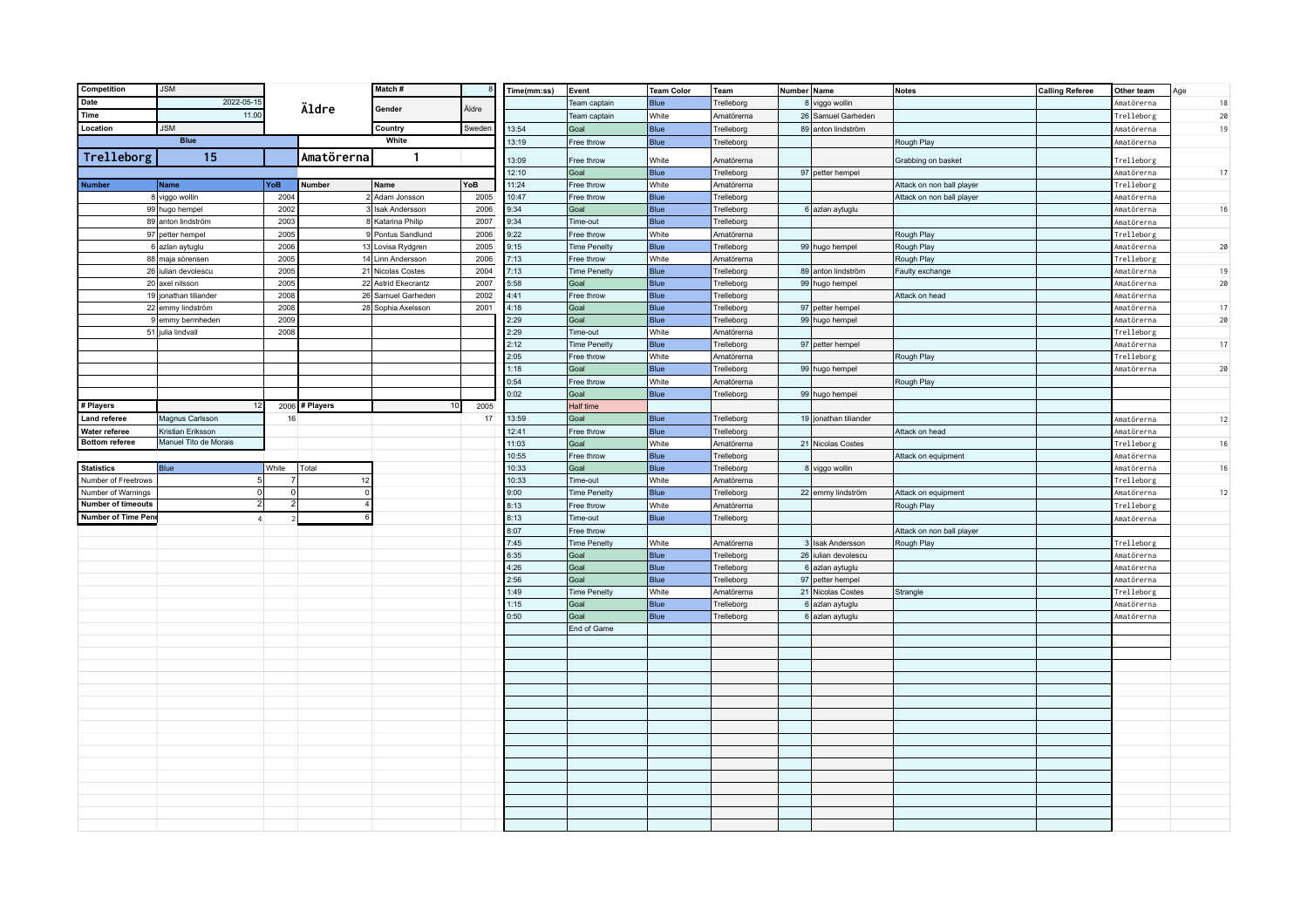| Competition                | <b>JSM</b>                             |                |                | Match#                                 |              | Time(mm:ss)  | Event                  | <b>Team Color</b> | <b>Team</b>              | Number Name |                       | <b>Notes</b>              | <b>Calling Referee</b> | Other team                             | Age       |
|----------------------------|----------------------------------------|----------------|----------------|----------------------------------------|--------------|--------------|------------------------|-------------------|--------------------------|-------------|-----------------------|---------------------------|------------------------|----------------------------------------|-----------|
| <b>Date</b>                | 2022-05-15                             |                |                |                                        |              |              | Team captain           | Blue              | Trelleborg               |             | 8 viggo wollin        |                           |                        | <i><b>Amatörerna</b></i>               | $18\,$    |
| Time                       | 11.00                                  |                | Äldre          | Gender                                 | Äldre        |              | Team captain           | White             | Amatörerna               |             | 26 Samuel Garheden    |                           |                        | Trelleborg                             | 20        |
| Location                   | <b>JSM</b>                             |                |                | Country                                | Sweden       | 13:54        | Goal                   | <b>Blue</b>       | Trelleborg               |             | 89 anton lindström    |                           |                        | <i><b>Amatörerna</b></i>               | 19        |
|                            | <b>Blue</b>                            |                |                | White                                  |              | 13:19        | Free throw             | Blue              | Trelleborg               |             |                       | Rough Play                |                        | <i><b>Amatörerna</b></i>               |           |
| Trelleborg                 | 15                                     |                | Amatörerna     | $\mathbf{1}$                           |              |              |                        |                   |                          |             |                       |                           |                        |                                        |           |
|                            |                                        |                |                |                                        |              | 13:09        | Free throw             | White             | Amatörerna               |             |                       | Grabbing on basket        |                        | Trelleborg                             |           |
|                            |                                        |                |                |                                        |              | 12:10        | Goal                   | Blue              | Trelleborg               |             | 97 petter hempel      |                           |                        | Amatörerna                             | 17        |
| <b>Number</b>              | Name                                   | YoB            | Number         | Name                                   | YoB          | 11:24        | Free throw             | White             | Amatörerna               |             |                       | Attack on non ball player |                        | Trelleborg                             |           |
|                            | 8 viggo wollin                         | 2004           |                | 2 Adam Jonsson                         | 2005         | 10:47        | Free throw             | Blue              | Trelleborg               |             |                       | Attack on non ball player |                        | Amatörerna                             |           |
|                            | 99 hugo hempel                         | 2002           |                | 3 Isak Andersson                       | 2006         | 9:34         | Goal                   | Blue              | Trelleborg               |             | 6 azlan aytuglu       |                           |                        | Amatörerna                             | 16        |
|                            | 89 anton lindström<br>97 petter hempel | 2003<br>2005   |                | 8 Katarina Philip<br>9 Pontus Sandlund | 2007         | 9:34<br>9:22 | Time-out<br>Free throw | Blue<br>White     | Trelleborg<br>Amatörerna |             |                       |                           |                        | <i><b>Amatörerna</b></i><br>Trelleborg |           |
|                            | 6 azlan aytuglu                        | 2006           |                | 13 Lovisa Rydgren                      | 2006<br>2005 | 9:15         | <b>Time Penelty</b>    | <b>Blue</b>       | Trelleborg               |             | 99 hugo hempel        | Rough Play<br>Rough Play  |                        | Amatörerna                             | 20        |
|                            | 88 maja sörensen                       | 2005           |                | 14 Linn Andersson                      | 2006         | 7:13         | Free throw             | White             | Amatörerna               |             |                       | Rough Play                |                        | Trelleborg                             |           |
|                            | 26 iulian devolescu                    | 2005           |                | 21 Nicolas Costes                      | 2004         | 7:13         | <b>Time Penelty</b>    | Blue              | Trelleborg               |             | 89 anton lindström    | Faulty exchange           |                        | <i><b>\matörerna</b></i>               | 19        |
|                            | 20 axel nilsson                        | 2005           |                | 22 Astrid Ekecrantz                    | 2007         | 5:58         | Goal                   | Blue              | Trelleborg               |             | 99 hugo hempel        |                           |                        | Amatörerna                             | 20        |
|                            | 19 jonathan tiliander                  | 2008           |                | 26 Samuel Garheden                     | 2002         | 4:41         | Free throw             | <b>Blue</b>       | Trelleborg               |             |                       | Attack on head            |                        | Amatörerna                             |           |
|                            | 22 emmy lindström                      | 2008           |                | 28 Sophia Axelsson                     | 2001         | 4:18         | Goal                   | Blue              | Trelleborg               |             | 97 petter hempel      |                           |                        | Amatörerna                             | 17        |
|                            | 9 emmy bermheden                       | 2009           |                |                                        |              | 2:29         | Goal                   | Blue              | Trelleborg               |             | 99 hugo hempel        |                           |                        | Amatörerna                             | $2\theta$ |
|                            | 51 julia lindvall                      | 2008           |                |                                        |              | 2:29         | Time-out               | White             | Amatörerna               |             |                       |                           |                        | Trelleborg                             |           |
|                            |                                        |                |                |                                        |              | 2:12         | <b>Time Penelty</b>    | Blue              | Trelleborg               |             | 97 petter hempel      |                           |                        | <i><b>Amatörerna</b></i>               | 17        |
|                            |                                        |                |                |                                        |              | 2:05         | Free throw             | White             | Amatörerna               |             |                       | Rough Play                |                        | Trelleborg                             |           |
|                            |                                        |                |                |                                        |              | 1:18         | Goal                   | Blue              | Trelleborg               |             | 99 hugo hempel        |                           |                        | Amatörerna                             | 20        |
|                            |                                        |                |                |                                        |              | 0:54         | Free throw             | White             | Amatörerna               |             |                       | Rough Play                |                        |                                        |           |
|                            |                                        |                |                |                                        |              | 0:02         | Goal                   | Blue              | Trelleborg               |             | 99 hugo hempel        |                           |                        |                                        |           |
| # Players                  |                                        |                | 2006 # Players | 10                                     | 2005         |              | Half time              |                   |                          |             |                       |                           |                        |                                        |           |
| <b>Land referee</b>        | Magnus Carlsson                        | 16             |                |                                        | 17           | 13:59        | Goal                   | <b>Blue</b>       | Trelleborg               |             | 19 jonathan tiliander |                           |                        | Amatörerna                             | 12        |
| Water referee              | Kristian Eriksson                      |                |                |                                        |              | 12:41        | Free throw             | Blue              | Trelleborg               |             |                       | Attack on head            |                        | Amatörerna                             |           |
| <b>Bottom referee</b>      | Manuel Tito de Morais                  |                |                |                                        |              | 11:03        | Goal                   | White             | Amatörerna               |             | 21 Nicolas Costes     |                           |                        | Trelleborg                             | 16        |
|                            |                                        |                |                |                                        |              | 10:55        | Free throw             | <b>Blue</b>       | Trelleborg               |             |                       | Attack on equipment       |                        | Amatörerna                             |           |
| <b>Statistics</b>          | Blue                                   | White          | Total          |                                        |              | 10:33        | Goal                   | Blue              | Trelleborg               |             | 8 viggo wollin        |                           |                        | Amatörerna                             | 16        |
| Number of Freetrows        | 5 <sup>1</sup>                         | $\overline{7}$ | 12             |                                        |              | 10:33        | Time-out               | White             | Amatörerna               |             |                       |                           |                        | Trelleborg                             |           |
| Number of Warnings         | 0                                      | 0              | $\mathbf{r}$   |                                        |              | 9:00         | <b>Time Penelty</b>    | Blue              | Trelleborg               |             | 22 emmy lindström     | Attack on equipment       |                        | <i><b>Amatörerna</b></i>               | 12        |
| <b>Number of timeouts</b>  | 2                                      | $2 \vert$      |                |                                        |              | 8:13         | Free throw             | White             | Amatörerna               |             |                       | Rough Play                |                        | Trelleborg                             |           |
| <b>Number of Time Pene</b> | $\overline{4}$                         | $\overline{2}$ |                |                                        |              | 8:13         | Time-out               | Blue              | Trelleborg               |             |                       |                           |                        | Amatörerna                             |           |
|                            |                                        |                |                |                                        |              | 8:07         | Free throw             |                   |                          |             |                       | Attack on non ball player |                        |                                        |           |
|                            |                                        |                |                |                                        |              | 7:45         | <b>Time Penelty</b>    | White             | Amatörerna               |             | 3 Isak Andersson      | Rough Play                |                        | Trelleborg                             |           |
|                            |                                        |                |                |                                        |              | 6:35         | Goal                   | Blue              | Trelleborg               |             | 26 iulian devolescu   |                           |                        | Amatörerna                             |           |
|                            |                                        |                |                |                                        |              | 4:26         | Goal                   | Blue              | Trelleborg               |             | 6 azlan aytuglu       |                           |                        | <i><b>Amatörerna</b></i>               |           |
|                            |                                        |                |                |                                        |              | 2:56         | Goal                   | Blue              | Trelleborg               |             | 97 petter hempel      |                           |                        | Amatörerna                             |           |
|                            |                                        |                |                |                                        |              | 1:49         | <b>Time Penelty</b>    | White             | Amatörerna               |             | 21 Nicolas Costes     | Strangle                  |                        | Trelleborg                             |           |
|                            |                                        |                |                |                                        |              | 1:15         | Goal                   | <b>Blue</b>       | Trelleborg               |             | 6 azlan aytuglu       |                           |                        | <i><b>\matörerna</b></i>               |           |
|                            |                                        |                |                |                                        |              | 0:50         | Goal                   | Blue              | Trelleborg               |             | 6 azlan aytuglu       |                           |                        | <i><b>Amatörerna</b></i>               |           |
|                            |                                        |                |                |                                        |              |              | End of Game            |                   |                          |             |                       |                           |                        |                                        |           |
|                            |                                        |                |                |                                        |              |              |                        |                   |                          |             |                       |                           |                        |                                        |           |
|                            |                                        |                |                |                                        |              |              |                        |                   |                          |             |                       |                           |                        |                                        |           |
|                            |                                        |                |                |                                        |              |              |                        |                   |                          |             |                       |                           |                        |                                        |           |
|                            |                                        |                |                |                                        |              |              |                        |                   |                          |             |                       |                           |                        |                                        |           |
|                            |                                        |                |                |                                        |              |              |                        |                   |                          |             |                       |                           |                        |                                        |           |
|                            |                                        |                |                |                                        |              |              |                        |                   |                          |             |                       |                           |                        |                                        |           |
|                            |                                        |                |                |                                        |              |              |                        |                   |                          |             |                       |                           |                        |                                        |           |
|                            |                                        |                |                |                                        |              |              |                        |                   |                          |             |                       |                           |                        |                                        |           |
|                            |                                        |                |                |                                        |              |              |                        |                   |                          |             |                       |                           |                        |                                        |           |
|                            |                                        |                |                |                                        |              |              |                        |                   |                          |             |                       |                           |                        |                                        |           |
|                            |                                        |                |                |                                        |              |              |                        |                   |                          |             |                       |                           |                        |                                        |           |
|                            |                                        |                |                |                                        |              |              |                        |                   |                          |             |                       |                           |                        |                                        |           |
|                            |                                        |                |                |                                        |              |              |                        |                   |                          |             |                       |                           |                        |                                        |           |
|                            |                                        |                |                |                                        |              |              |                        |                   |                          |             |                       |                           |                        |                                        |           |
|                            |                                        |                |                |                                        |              |              |                        |                   |                          |             |                       |                           |                        |                                        |           |
|                            |                                        |                |                |                                        |              |              |                        |                   |                          |             |                       |                           |                        |                                        |           |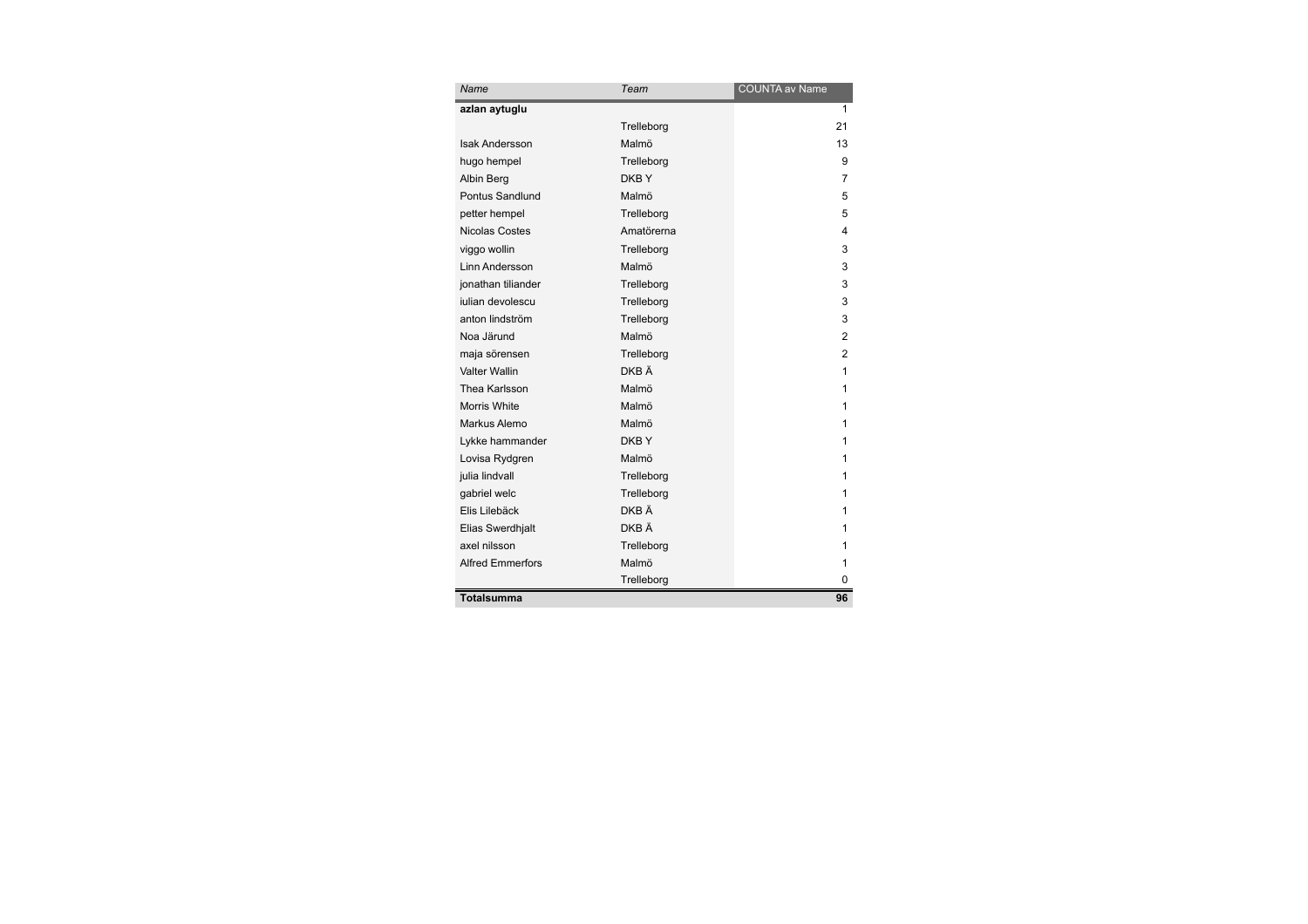| Name                    | Team       | <b>COUNTA av Name</b> |
|-------------------------|------------|-----------------------|
| azlan aytuglu           |            | 1                     |
|                         | Trelleborg | 21                    |
| <b>Isak Andersson</b>   | Malmö      | 13                    |
| hugo hempel             | Trelleborg | 9                     |
| Albin Berg              | DKBY       | 7                     |
| Pontus Sandlund         | Malmö      | 5                     |
| petter hempel           | Trelleborg | 5                     |
| <b>Nicolas Costes</b>   | Amatörerna | 4                     |
| viggo wollin            | Trelleborg | 3                     |
| Linn Andersson          | Malmö      | 3                     |
| jonathan tiliander      | Trelleborg | 3                     |
| julian devolescu        | Trelleborg | 3                     |
| anton lindström         | Trelleborg | 3                     |
| Noa Järund              | Malmö      | 2                     |
| maja sörensen           | Trelleborg | $\overline{2}$        |
| Valter Wallin           | DKB Ä      | 1                     |
| Thea Karlsson           | Malmö      | 1                     |
| Morris White            | Malmö      | 1                     |
| Markus Alemo            | Malmö      | 1                     |
| Lykke hammander         | DKB Y      | 1                     |
| Lovisa Rydgren          | Malmö      | 1                     |
| julia lindvall          | Trelleborg | 1                     |
| qabriel welc            | Trelleborg | 1                     |
| Elis Lilebäck           | DKB Ä      | 1                     |
| Elias Swerdhjalt        | DKB Ä      | 1                     |
| axel nilsson            | Trelleborg | 1                     |
| <b>Alfred Emmerfors</b> | Malmö      | 1                     |
|                         | Trelleborg | 0                     |
| Totalsumma              |            | 96                    |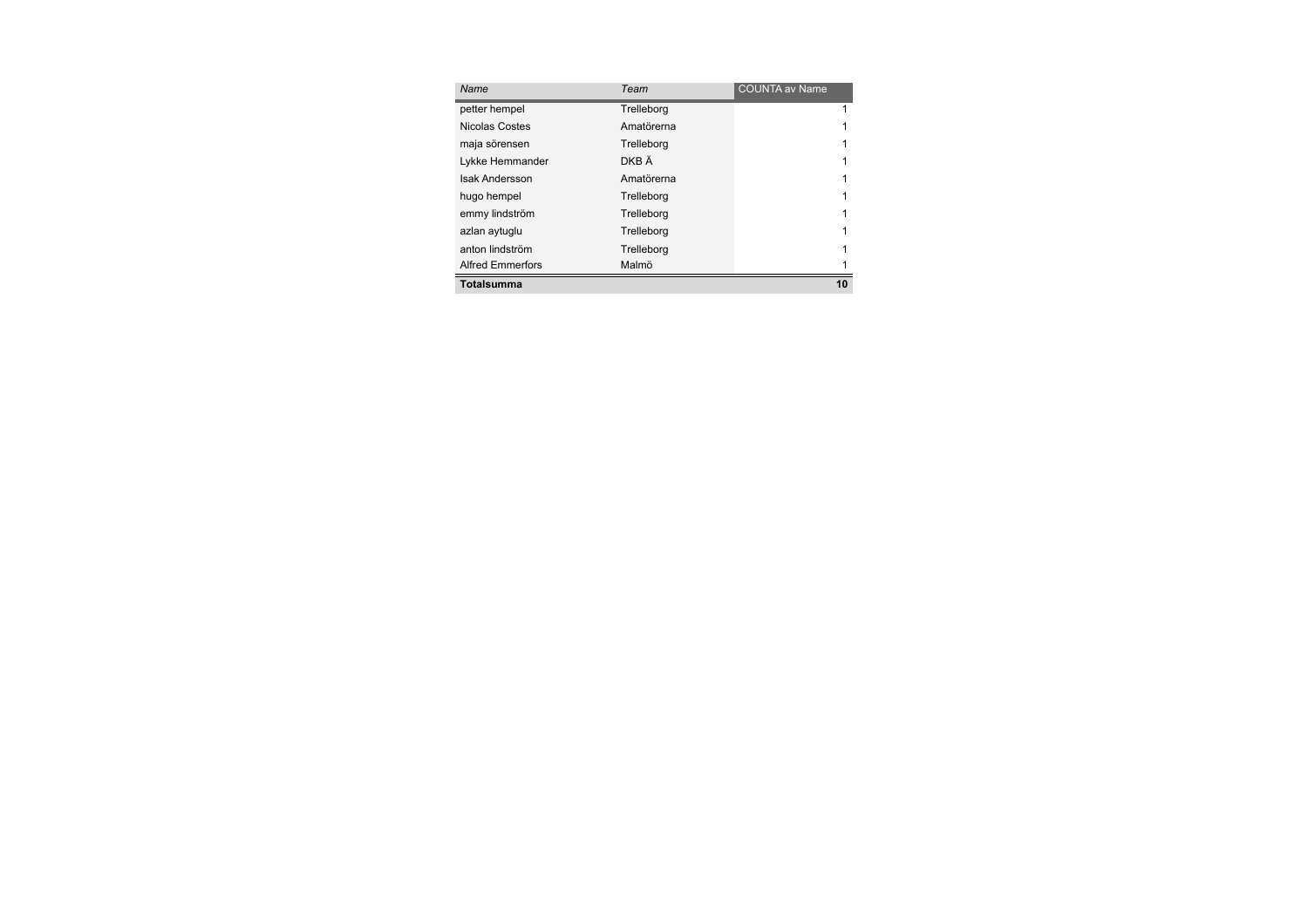| Name                    | Team       | <b>COUNTA av Name</b> |
|-------------------------|------------|-----------------------|
| petter hempel           | Trelleborg | 1                     |
| Nicolas Costes          | Amatörerna |                       |
| maja sörensen           | Trelleborg |                       |
| Lykke Hemmander         | DKB Ä      |                       |
| <b>Isak Andersson</b>   | Amatörerna |                       |
| hugo hempel             | Trelleborg |                       |
| emmy lindström          | Trelleborg |                       |
| azlan aytuqlu           | Trelleborg |                       |
| anton lindström         | Trelleborg |                       |
| <b>Alfred Emmerfors</b> | Malmö      |                       |
| Totalsumma              |            | 10                    |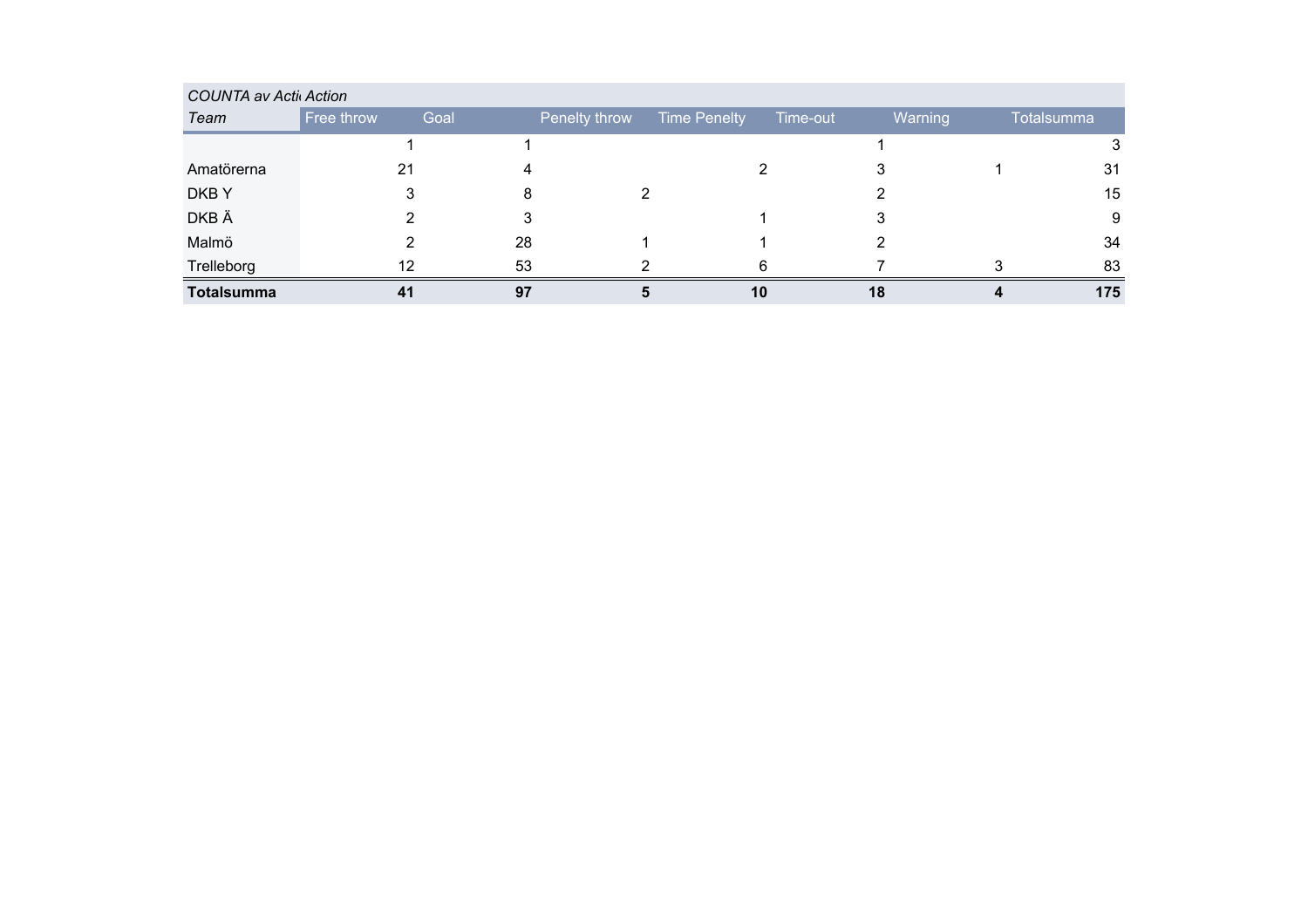| <b>COUNTA av Activ Action</b> |            |      |               |                     |          |                |            |
|-------------------------------|------------|------|---------------|---------------------|----------|----------------|------------|
| Team                          | Free throw | Goal | Penelty throw | <b>Time Penelty</b> | Time-out | <b>Warning</b> | Totalsumma |
|                               |            |      |               |                     |          |                |            |
| Amatörerna                    | 21         |      |               |                     |          |                | 31         |
| DKB Y                         |            |      |               |                     |          |                | 15         |
| DKB Ä                         |            |      |               |                     |          |                | 9          |
| Malmö                         |            | 28   |               |                     |          |                | 34         |
| Trelleborg                    | 12         | 53   |               |                     |          |                | 83         |
| <b>Totalsumma</b>             | 41         | 97   |               | 10                  | 18       |                | 175        |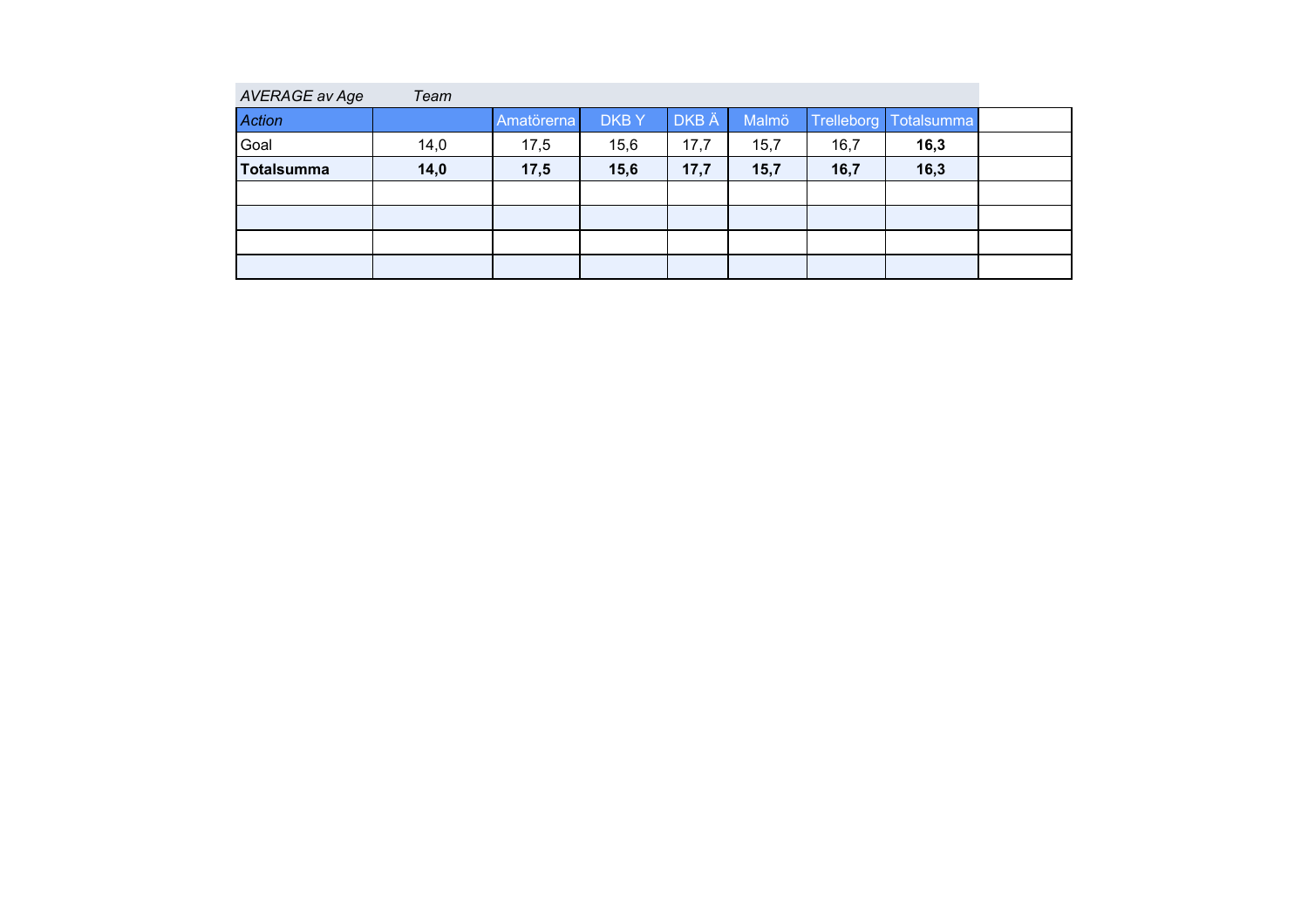| AVERAGE av Age | Team |            |             |       |       |            |            |  |
|----------------|------|------------|-------------|-------|-------|------------|------------|--|
| <b>Action</b>  |      | Amatörerna | <b>DKBY</b> | DKB Ä | Malmö | Trelleborg | Totalsumma |  |
| Goal           | 14,0 | 17,5       | 15,6        | 17,7  | 15,7  | 16,7       | 16,3       |  |
| Totalsumma     | 14,0 | 17,5       | 15,6        | 17,7  | 15,7  | 16,7       | 16,3       |  |
|                |      |            |             |       |       |            |            |  |
|                |      |            |             |       |       |            |            |  |
|                |      |            |             |       |       |            |            |  |
|                |      |            |             |       |       |            |            |  |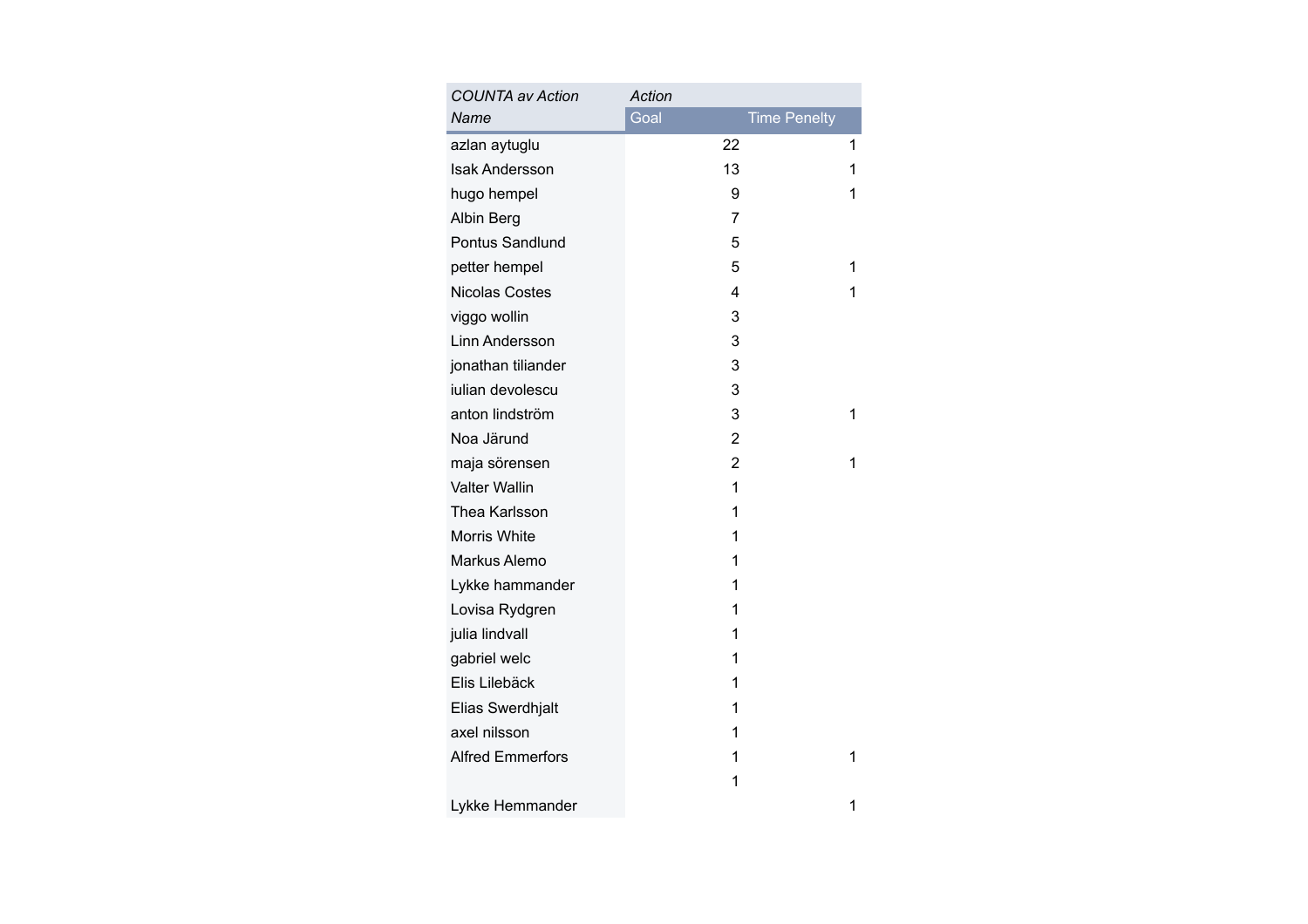| <b>COUNTA av Action</b> | Action         |                     |
|-------------------------|----------------|---------------------|
| Name                    | Goal           | <b>Time Penelty</b> |
| azlan aytuglu           | 22             | 1                   |
| <b>Isak Andersson</b>   | 13             | 1                   |
| hugo hempel             | 9              | 1                   |
| Albin Berg              | 7              |                     |
| <b>Pontus Sandlund</b>  | 5              |                     |
| petter hempel           | 5              | 1                   |
| <b>Nicolas Costes</b>   | 4              | 1                   |
| viggo wollin            | 3              |                     |
| Linn Andersson          | 3              |                     |
| jonathan tiliander      | 3              |                     |
| julian devolescu        | 3              |                     |
| anton lindström         | 3              | 1                   |
| Noa Järund              | $\overline{2}$ |                     |
| maja sörensen           | $\overline{2}$ | 1                   |
| <b>Valter Wallin</b>    | 1              |                     |
| Thea Karlsson           | 1              |                     |
| Morris White            | 1              |                     |
| Markus Alemo            | 1              |                     |
| Lykke hammander         | 1              |                     |
| Lovisa Rydgren          | 1              |                     |
| julia lindvall          | 1              |                     |
| gabriel welc            | 1              |                     |
| Elis Lilebäck           | 1              |                     |
| Elias Swerdhjalt        | 1              |                     |
| axel nilsson            | 1              |                     |
| <b>Alfred Emmerfors</b> | 1              | 1                   |
|                         | 1              |                     |
| Lykke Hemmander         |                | 1                   |
|                         |                |                     |